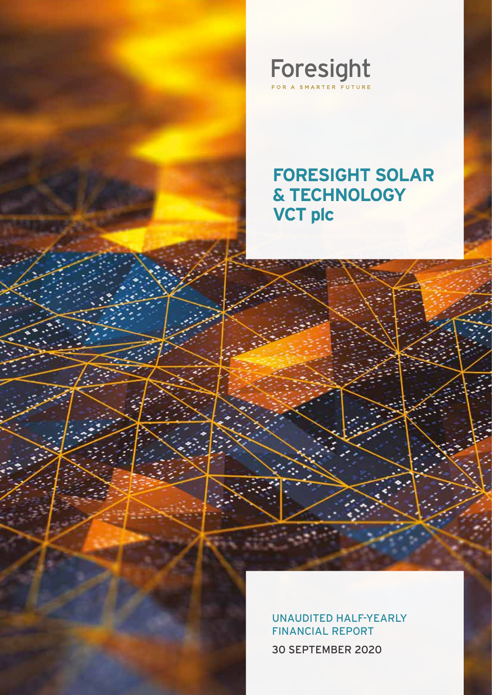



## **FORESIGHT SOLAR & TECHNOLOGY VCT plc**

UNAUDITED HALF-YEARLY FINANCIAL REPORT 30 SEPTEMBER 2020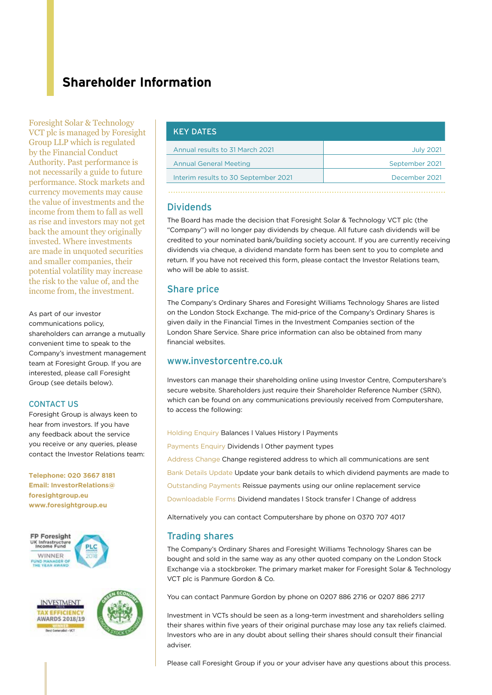### **Shareholder Information**

Foresight Solar & Technology VCT plc is managed by Foresight Group LLP which is regulated by the Financial Conduct Authority. Past performance is not necessarily a guide to future performance. Stock markets and currency movements may cause the value of investments and the income from them to fall as well as rise and investors may not get back the amount they originally invested. Where investments are made in unquoted securities and smaller companies, their potential volatility may increase the risk to the value of, and the income from, the investment.

As part of our investor communications policy, shareholders can arrange a mutually convenient time to speak to the Company's investment management team at Foresight Group. If you are interested, please call Foresight Group (see details below).

#### CONTACT US

Foresight Group is always keen to hear from investors. If you have any feedback about the service you receive or any queries, please contact the Investor Relations team:

**Telephone: 020 3667 8181 Email: InvestorRelations@ foresightgroup.eu www.foresightgroup.eu**







| <b>July 2021</b> |
|------------------|
| September 2021   |
| December 2021    |
|                  |

### **Dividends**

The Board has made the decision that Foresight Solar & Technology VCT plc (the "Company") will no longer pay dividends by cheque. All future cash dividends will be credited to your nominated bank/building society account. If you are currently receiving dividends via cheque, a dividend mandate form has been sent to you to complete and return. If you have not received this form, please contact the Investor Relations team, who will be able to assist.

### Share price

The Company's Ordinary Shares and Foresight Williams Technology Shares are listed on the London Stock Exchange. The mid-price of the Company's Ordinary Shares is given daily in the Financial Times in the Investment Companies section of the London Share Service. Share price information can also be obtained from many financial websites.

### www.investorcentre.co.uk

Investors can manage their shareholding online using Investor Centre, Computershare's secure website. Shareholders just require their Shareholder Reference Number (SRN), which can be found on any communications previously received from Computershare, to access the following:

Holding Enquiry Balances l Values History l Payments Payments Enquiry Dividends l Other payment types Address Change Change registered address to which all communications are sent Bank Details Update Update your bank details to which dividend payments are made to Outstanding Payments Reissue payments using our online replacement service Downloadable Forms Dividend mandates l Stock transfer l Change of address

Alternatively you can contact Computershare by phone on 0370 707 4017

### Trading shares

The Company's Ordinary Shares and Foresight Williams Technology Shares can be bought and sold in the same way as any other quoted company on the London Stock Exchange via a stockbroker. The primary market maker for Foresight Solar & Technology VCT plc is Panmure Gordon & Co.

You can contact Panmure Gordon by phone on 0207 886 2716 or 0207 886 2717

Investment in VCTs should be seen as a long-term investment and shareholders selling their shares within five years of their original purchase may lose any tax reliefs claimed. Investors who are in any doubt about selling their shares should consult their financial adviser.

Please call Foresight Group if you or your adviser have any questions about this process.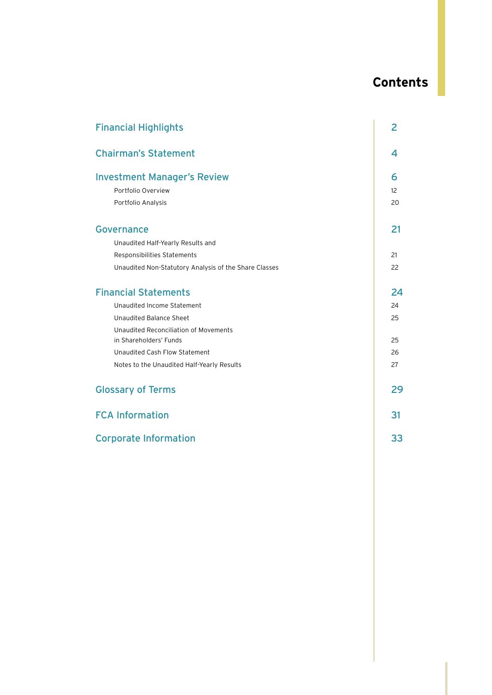## **Contents**

| <b>Financial Highlights</b>                           | $\overline{2}$  |
|-------------------------------------------------------|-----------------|
| <b>Chairman's Statement</b>                           | 4               |
| <b>Investment Manager's Review</b>                    | 6               |
| Portfolio Overview                                    | 12 <sup>2</sup> |
| Portfolio Analysis                                    | 20              |
| Governance                                            | 21              |
| Unaudited Half-Yearly Results and                     |                 |
| Responsibilities Statements                           | 21              |
| Unaudited Non-Statutory Analysis of the Share Classes | 22              |
| <b>Financial Statements</b>                           | 24              |
| Unaudited Income Statement                            | 24              |
| <b>Unaudited Balance Sheet</b>                        | 25              |
| Unaudited Reconciliation of Movements                 |                 |
| in Shareholders' Funds                                | 25              |
| Unaudited Cash Flow Statement                         | 26              |
| Notes to the Unaudited Half-Yearly Results            | 27              |
| <b>Glossary of Terms</b>                              | 29              |
| <b>FCA Information</b>                                | 31              |
| <b>Corporate Information</b>                          | 33              |
|                                                       |                 |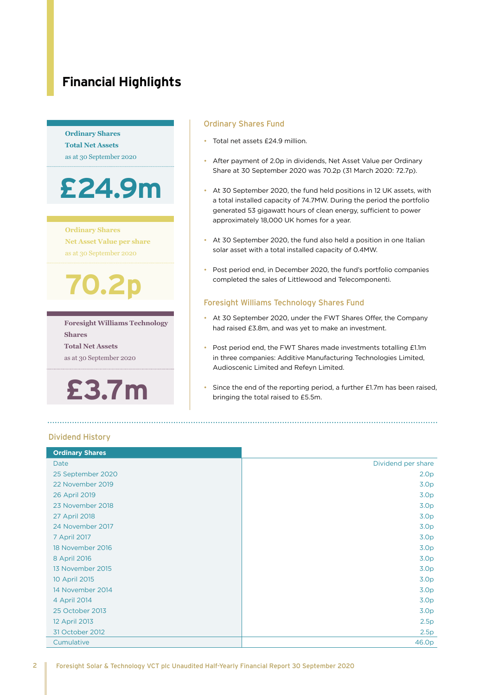### **Financial Highlights**

**Ordinary Shares Total Net Assets** as at 30 September 2020

# **£24.9m**

**Ordinary Shares Net Asset Value per share**  as at 30 September 2020



**Foresight Williams Technology Shares Total Net Assets**  as at 30 September 2020



#### Ordinary Shares Fund

- Total net assets £24.9 million.
- After payment of 2.0p in dividends, Net Asset Value per Ordinary Share at 30 September 2020 was 70.2p (31 March 2020: 72.7p).
- At 30 September 2020, the fund held positions in 12 UK assets, with a total installed capacity of 74.7MW. During the period the portfolio generated 53 gigawatt hours of clean energy, sufficient to power approximately 18,000 UK homes for a year.
- At 30 September 2020, the fund also held a position in one Italian solar asset with a total installed capacity of 0.4MW.
- Post period end, in December 2020, the fund's portfolio companies completed the sales of Littlewood and Telecomponenti.

### Foresight Williams Technology Shares Fund

- At 30 September 2020, under the FWT Shares Offer, the Company had raised £3.8m, and was yet to make an investment.
- Post period end, the FWT Shares made investments totalling £1.1m in three companies: Additive Manufacturing Technologies Limited, Audioscenic Limited and Refeyn Limited.
- Since the end of the reporting period, a further £1.7m has been raised, bringing the total raised to £5.5m.

#### Dividend History

| <b>Ordinary Shares</b> |                    |
|------------------------|--------------------|
| Date                   | Dividend per share |
| 25 September 2020      | 2.0 <sub>p</sub>   |
| 22 November 2019       | 3.0 <sub>p</sub>   |
| 26 April 2019          | 3.0 <sub>p</sub>   |
| 23 November 2018       | 3.0 <sub>p</sub>   |
| 27 April 2018          | 3.0 <sub>p</sub>   |
| 24 November 2017       | 3.0 <sub>p</sub>   |
| 7 April 2017           | 3.0 <sub>p</sub>   |
| 18 November 2016       | 3.0 <sub>p</sub>   |
| 8 April 2016           | 3.0 <sub>p</sub>   |
| 13 November 2015       | 3.0 <sub>p</sub>   |
| 10 April 2015          | 3.0 <sub>p</sub>   |
| 14 November 2014       | 3.0 <sub>p</sub>   |
| 4 April 2014           | 3.0 <sub>p</sub>   |
| 25 October 2013        | 3.0 <sub>p</sub>   |
| 12 April 2013          | 2.5p               |
| 31 October 2012        | 2.5p               |
| Cumulative             | 46.0 <sub>p</sub>  |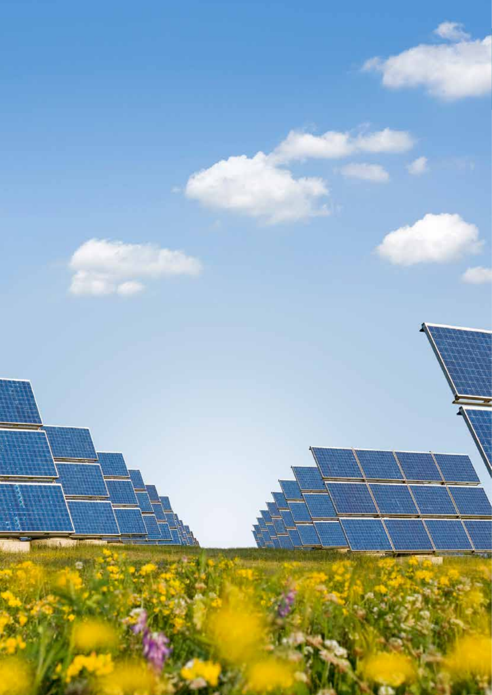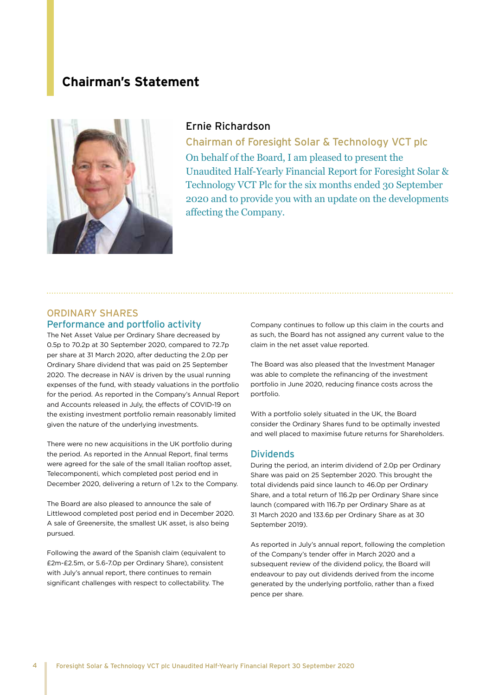### **Chairman's Statement**



### Ernie Richardson

Chairman of Foresight Solar & Technology VCT plc On behalf of the Board, I am pleased to present the Unaudited Half-Yearly Financial Report for Foresight Solar & Technology VCT Plc for the six months ended 30 September 2020 and to provide you with an update on the developments affecting the Company.

### ORDINARY SHARES Performance and portfolio activity

The Net Asset Value per Ordinary Share decreased by 0.5p to 70.2p at 30 September 2020, compared to 72.7p per share at 31 March 2020, after deducting the 2.0p per Ordinary Share dividend that was paid on 25 September 2020. The decrease in NAV is driven by the usual running expenses of the fund, with steady valuations in the portfolio for the period. As reported in the Company's Annual Report and Accounts released in July, the effects of COVID-19 on the existing investment portfolio remain reasonably limited given the nature of the underlying investments.

There were no new acquisitions in the UK portfolio during the period. As reported in the Annual Report, final terms were agreed for the sale of the small Italian rooftop asset, Telecomponenti, which completed post period end in December 2020, delivering a return of 1.2x to the Company.

The Board are also pleased to announce the sale of Littlewood completed post period end in December 2020. A sale of Greenersite, the smallest UK asset, is also being pursued.

Following the award of the Spanish claim (equivalent to £2m-£2.5m, or 5.6-7.0p per Ordinary Share), consistent with July's annual report, there continues to remain significant challenges with respect to collectability. The

Company continues to follow up this claim in the courts and as such, the Board has not assigned any current value to the claim in the net asset value reported.

The Board was also pleased that the Investment Manager was able to complete the refinancing of the investment portfolio in June 2020, reducing finance costs across the portfolio.

With a portfolio solely situated in the UK, the Board consider the Ordinary Shares fund to be optimally invested and well placed to maximise future returns for Shareholders.

### **Dividends**

During the period, an interim dividend of 2.0p per Ordinary Share was paid on 25 September 2020. This brought the total dividends paid since launch to 46.0p per Ordinary Share, and a total return of 116.2p per Ordinary Share since launch (compared with 116.7p per Ordinary Share as at 31 March 2020 and 133.6p per Ordinary Share as at 30 September 2019).

As reported in July's annual report, following the completion of the Company's tender offer in March 2020 and a subsequent review of the dividend policy, the Board will endeavour to pay out dividends derived from the income generated by the underlying portfolio, rather than a fixed pence per share.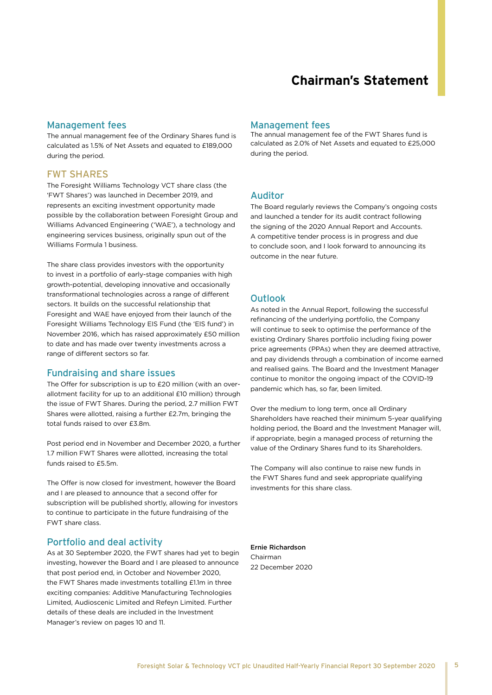### **Chairman's Statement**

### Management fees

The annual management fee of the Ordinary Shares fund is calculated as 1.5% of Net Assets and equated to £189,000 during the period.

### FWT SHARES

The Foresight Williams Technology VCT share class (the 'FWT Shares') was launched in December 2019, and represents an exciting investment opportunity made possible by the collaboration between Foresight Group and Williams Advanced Engineering ('WAE'), a technology and engineering services business, originally spun out of the Williams Formula 1 business.

The share class provides investors with the opportunity to invest in a portfolio of early-stage companies with high growth-potential, developing innovative and occasionally transformational technologies across a range of different sectors. It builds on the successful relationship that Foresight and WAE have enjoyed from their launch of the Foresight Williams Technology EIS Fund (the 'EIS fund') in November 2016, which has raised approximately £50 million to date and has made over twenty investments across a range of different sectors so far.

#### Fundraising and share issues

The Offer for subscription is up to £20 million (with an overallotment facility for up to an additional £10 million) through the issue of FWT Shares. During the period, 2.7 million FWT Shares were allotted, raising a further £2.7m, bringing the total funds raised to over £3.8m.

Post period end in November and December 2020, a further 1.7 million FWT Shares were allotted, increasing the total funds raised to £5.5m.

The Offer is now closed for investment, however the Board and I are pleased to announce that a second offer for subscription will be published shortly, allowing for investors to continue to participate in the future fundraising of the FWT share class.

### Portfolio and deal activity

As at 30 September 2020, the FWT shares had yet to begin investing, however the Board and I are pleased to announce that post period end, in October and November 2020, the FWT Shares made investments totalling £1.1m in three exciting companies: Additive Manufacturing Technologies Limited, Audioscenic Limited and Refeyn Limited. Further details of these deals are included in the Investment Manager's review on pages 10 and 11.

#### Management fees

The annual management fee of the FWT Shares fund is calculated as 2.0% of Net Assets and equated to £25,000 during the period.

### Auditor

The Board regularly reviews the Company's ongoing costs and launched a tender for its audit contract following the signing of the 2020 Annual Report and Accounts. A competitive tender process is in progress and due to conclude soon, and I look forward to announcing its outcome in the near future.

### **Outlook**

As noted in the Annual Report, following the successful refinancing of the underlying portfolio, the Company will continue to seek to optimise the performance of the existing Ordinary Shares portfolio including fixing power price agreements (PPAs) when they are deemed attractive, and pay dividends through a combination of income earned and realised gains. The Board and the Investment Manager continue to monitor the ongoing impact of the COVID-19 pandemic which has, so far, been limited.

Over the medium to long term, once all Ordinary Shareholders have reached their minimum 5-year qualifying holding period, the Board and the Investment Manager will, if appropriate, begin a managed process of returning the value of the Ordinary Shares fund to its Shareholders.

The Company will also continue to raise new funds in the FWT Shares fund and seek appropriate qualifying investments for this share class.

#### Ernie Richardson

Chairman 22 December 2020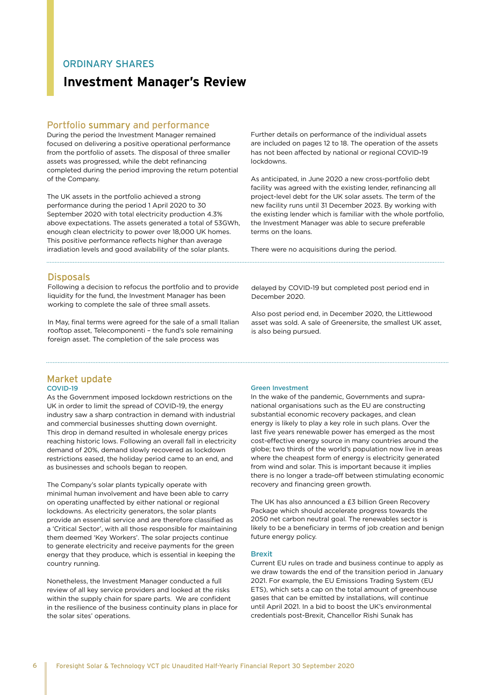### **Investment Manager's Review**

#### Portfolio summary and performance

During the period the Investment Manager remained focused on delivering a positive operational performance from the portfolio of assets. The disposal of three smaller assets was progressed, while the debt refinancing completed during the period improving the return potential of the Company.

The UK assets in the portfolio achieved a strong performance during the period 1 April 2020 to 30 September 2020 with total electricity production 4.3% above expectations. The assets generated a total of 53GWh, enough clean electricity to power over 18,000 UK homes. This positive performance reflects higher than average irradiation levels and good availability of the solar plants.

Further details on performance of the individual assets are included on pages 12 to 18. The operation of the assets has not been affected by national or regional COVID-19 lockdowns.

As anticipated, in June 2020 a new cross-portfolio debt facility was agreed with the existing lender, refinancing all project-level debt for the UK solar assets. The term of the new facility runs until 31 December 2023. By working with the existing lender which is familiar with the whole portfolio, the Investment Manager was able to secure preferable terms on the loans.

There were no acquisitions during the period.

#### **Disposals**

Following a decision to refocus the portfolio and to provide liquidity for the fund, the Investment Manager has been working to complete the sale of three small assets.

In May, final terms were agreed for the sale of a small Italian rooftop asset, Telecomponenti – the fund's sole remaining foreign asset. The completion of the sale process was

delayed by COVID-19 but completed post period end in December 2020.

Also post period end, in December 2020, the Littlewood asset was sold. A sale of Greenersite, the smallest UK asset, is also being pursued.

#### Market update COVID-19

As the Government imposed lockdown restrictions on the UK in order to limit the spread of COVID-19, the energy industry saw a sharp contraction in demand with industrial and commercial businesses shutting down overnight. This drop in demand resulted in wholesale energy prices reaching historic lows. Following an overall fall in electricity demand of 20%, demand slowly recovered as lockdown restrictions eased, the holiday period came to an end, and as businesses and schools began to reopen.

The Company's solar plants typically operate with minimal human involvement and have been able to carry on operating unaffected by either national or regional lockdowns. As electricity generators, the solar plants provide an essential service and are therefore classified as a 'Critical Sector', with all those responsible for maintaining them deemed 'Key Workers'. The solar projects continue to generate electricity and receive payments for the green energy that they produce, which is essential in keeping the country running.

Nonetheless, the Investment Manager conducted a full review of all key service providers and looked at the risks within the supply chain for spare parts. We are confident in the resilience of the business continuity plans in place for the solar sites' operations.

#### Green Investment

In the wake of the pandemic, Governments and supranational organisations such as the EU are constructing substantial economic recovery packages, and clean energy is likely to play a key role in such plans. Over the last five years renewable power has emerged as the most cost-effective energy source in many countries around the globe; two thirds of the world's population now live in areas where the cheapest form of energy is electricity generated from wind and solar. This is important because it implies there is no longer a trade-off between stimulating economic recovery and financing green growth.

The UK has also announced a £3 billion Green Recovery Package which should accelerate progress towards the 2050 net carbon neutral goal. The renewables sector is likely to be a beneficiary in terms of job creation and benign future energy policy.

#### **Brexit**

Current EU rules on trade and business continue to apply as we draw towards the end of the transition period in January 2021. For example, the EU Emissions Trading System (EU ETS), which sets a cap on the total amount of greenhouse gases that can be emitted by installations, will continue until April 2021. In a bid to boost the UK's environmental credentials post-Brexit, Chancellor Rishi Sunak has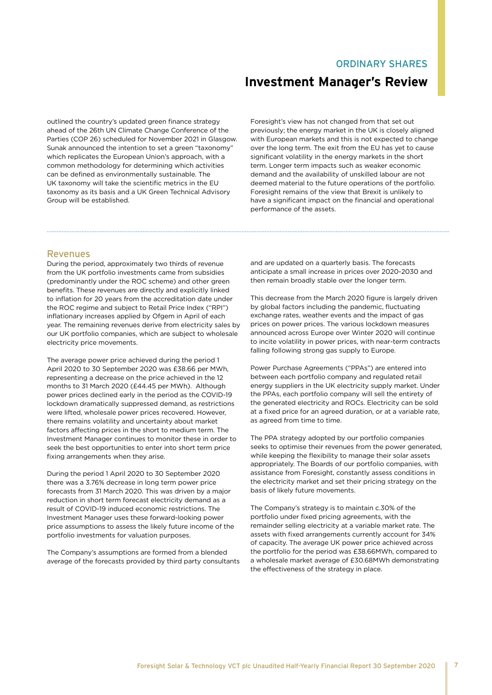### **Investment Manager's Review**

outlined the country's updated green finance strategy ahead of the 26th UN Climate Change Conference of the Parties (COP 26) scheduled for November 2021 in Glasgow. Sunak announced the intention to set a green "taxonomy" which replicates the European Union's approach, with a common methodology for determining which activities can be defined as environmentally sustainable. The UK taxonomy will take the scientific metrics in the EU taxonomy as its basis and a UK Green Technical Advisory Group will be established.

Foresight's view has not changed from that set out previously; the energy market in the UK is closely aligned with European markets and this is not expected to change over the long term. The exit from the EU has yet to cause significant volatility in the energy markets in the short term. Longer term impacts such as weaker economic demand and the availability of unskilled labour are not deemed material to the future operations of the portfolio. Foresight remains of the view that Brexit is unlikely to have a significant impact on the financial and operational performance of the assets.

#### Revenues

During the period, approximately two thirds of revenue from the UK portfolio investments came from subsidies (predominantly under the ROC scheme) and other green benefits. These revenues are directly and explicitly linked to inflation for 20 years from the accreditation date under the ROC regime and subject to Retail Price Index ("RPI") inflationary increases applied by Ofgem in April of each year. The remaining revenues derive from electricity sales by our UK portfolio companies, which are subject to wholesale electricity price movements.

The average power price achieved during the period 1 April 2020 to 30 September 2020 was £38.66 per MWh, representing a decrease on the price achieved in the 12 months to 31 March 2020 (£44.45 per MWh). Although power prices declined early in the period as the COVID-19 lockdown dramatically suppressed demand, as restrictions were lifted, wholesale power prices recovered. However, there remains volatility and uncertainty about market factors affecting prices in the short to medium term. The Investment Manager continues to monitor these in order to seek the best opportunities to enter into short term price fixing arrangements when they arise.

During the period 1 April 2020 to 30 September 2020 there was a 3.76% decrease in long term power price forecasts from 31 March 2020. This was driven by a major reduction in short term forecast electricity demand as a result of COVID-19 induced economic restrictions. The Investment Manager uses these forward-looking power price assumptions to assess the likely future income of the portfolio investments for valuation purposes.

The Company's assumptions are formed from a blended average of the forecasts provided by third party consultants and are updated on a quarterly basis. The forecasts anticipate a small increase in prices over 2020-2030 and then remain broadly stable over the longer term.

This decrease from the March 2020 figure is largely driven by global factors including the pandemic, fluctuating exchange rates, weather events and the impact of gas prices on power prices. The various lockdown measures announced across Europe over Winter 2020 will continue to incite volatility in power prices, with near-term contracts falling following strong gas supply to Europe.

Power Purchase Agreements ("PPAs") are entered into between each portfolio company and regulated retail energy suppliers in the UK electricity supply market. Under the PPAs, each portfolio company will sell the entirety of the generated electricity and ROCs. Electricity can be sold at a fixed price for an agreed duration, or at a variable rate, as agreed from time to time.

The PPA strategy adopted by our portfolio companies seeks to optimise their revenues from the power generated, while keeping the flexibility to manage their solar assets appropriately. The Boards of our portfolio companies, with assistance from Foresight, constantly assess conditions in the electricity market and set their pricing strategy on the basis of likely future movements.

The Company's strategy is to maintain c.30% of the portfolio under fixed pricing agreements, with the remainder selling electricity at a variable market rate. The assets with fixed arrangements currently account for 34% of capacity. The average UK power price achieved across the portfolio for the period was £38.66MWh, compared to a wholesale market average of £30.68MWh demonstrating the effectiveness of the strategy in place.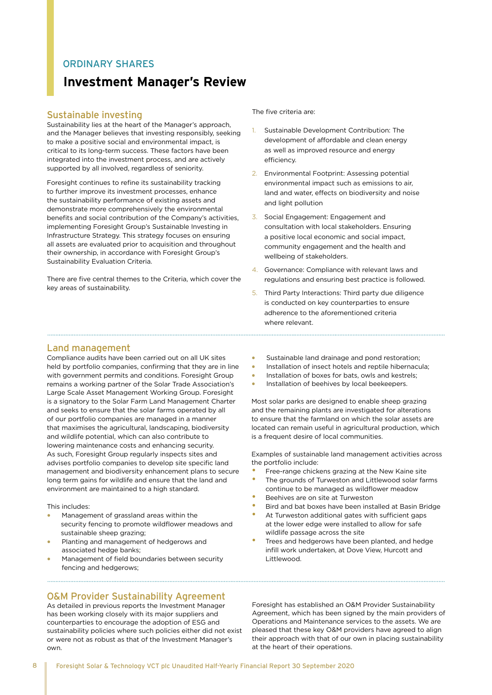### **Investment Manager's Review**

#### Sustainable investing

Sustainability lies at the heart of the Manager's approach, and the Manager believes that investing responsibly, seeking to make a positive social and environmental impact, is critical to its long-term success. These factors have been integrated into the investment process, and are actively supported by all involved, regardless of seniority.

Foresight continues to refine its sustainability tracking to further improve its investment processes, enhance the sustainability performance of existing assets and demonstrate more comprehensively the environmental benefits and social contribution of the Company's activities, implementing Foresight Group's Sustainable Investing in Infrastructure Strategy. This strategy focuses on ensuring all assets are evaluated prior to acquisition and throughout their ownership, in accordance with Foresight Group's Sustainability Evaluation Criteria.

There are five central themes to the Criteria, which cover the key areas of sustainability.

#### The five criteria are:

- 1. Sustainable Development Contribution: The development of affordable and clean energy as well as improved resource and energy efficiency.
- 2. Environmental Footprint: Assessing potential environmental impact such as emissions to air, land and water, effects on biodiversity and noise and light pollution
- 3. Social Engagement: Engagement and consultation with local stakeholders. Ensuring a positive local economic and social impact, community engagement and the health and wellbeing of stakeholders.
- 4. Governance: Compliance with relevant laws and regulations and ensuring best practice is followed.
- 5. Third Party Interactions: Third party due diligence is conducted on key counterparties to ensure adherence to the aforementioned criteria where relevant.

#### Land management

Compliance audits have been carried out on all UK sites held by portfolio companies, confirming that they are in line with government permits and conditions. Foresight Group remains a working partner of the Solar Trade Association's Large Scale Asset Management Working Group. Foresight is a signatory to the Solar Farm Land Management Charter and seeks to ensure that the solar farms operated by all of our portfolio companies are managed in a manner that maximises the agricultural, landscaping, biodiversity and wildlife potential, which can also contribute to lowering maintenance costs and enhancing security. As such, Foresight Group regularly inspects sites and advises portfolio companies to develop site specific land management and biodiversity enhancement plans to secure long term gains for wildlife and ensure that the land and environment are maintained to a high standard.

This includes:

- Management of grassland areas within the security fencing to promote wildflower meadows and sustainable sheep grazing;
- Planting and management of hedgerows and associated hedge banks;
- Management of field boundaries between security fencing and hedgerows;
- Sustainable land drainage and pond restoration;
- Installation of insect hotels and reptile hibernacula;<br>• Installation of boxes for bats, owls and kestrels:
- Installation of boxes for bats, owls and kestrels;
- Installation of beehives by local beekeepers.

Most solar parks are designed to enable sheep grazing and the remaining plants are investigated for alterations to ensure that the farmland on which the solar assets are located can remain useful in agricultural production, which is a frequent desire of local communities.

Examples of sustainable land management activities across the portfolio include:

- Free-range chickens grazing at the New Kaine site
- The grounds of Turweston and Littlewood solar farms continue to be managed as wildflower meadow
- Beehives are on site at Turweston
- Bird and bat boxes have been installed at Basin Bridge
- At Turweston additional gates with sufficient gaps at the lower edge were installed to allow for safe wildlife passage across the site
- Trees and hedgerows have been planted, and hedge infill work undertaken, at Dove View, Hurcott and Littlewood.

### O&M Provider Sustainability Agreement

As detailed in previous reports the Investment Manager has been working closely with its major suppliers and counterparties to encourage the adoption of ESG and sustainability policies where such policies either did not exist or were not as robust as that of the Investment Manager's own.

Foresight has established an O&M Provider Sustainability Agreement, which has been signed by the main providers of Operations and Maintenance services to the assets. We are pleased that these key O&M providers have agreed to align their approach with that of our own in placing sustainability at the heart of their operations.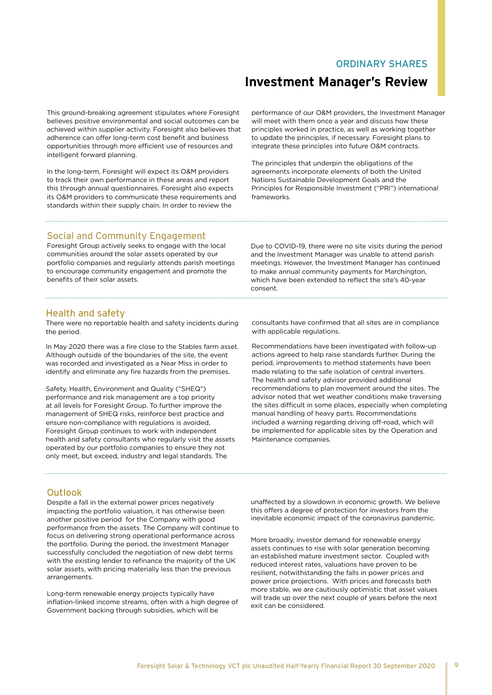### **Investment Manager's Review**

This ground-breaking agreement stipulates where Foresight believes positive environmental and social outcomes can be achieved within supplier activity. Foresight also believes that adherence can offer long-term cost benefit and business opportunities through more efficient use of resources and intelligent forward planning.

In the long-term, Foresight will expect its O&M providers to track their own performance in these areas and report this through annual questionnaires. Foresight also expects its O&M providers to communicate these requirements and standards within their supply chain. In order to review the

performance of our O&M providers, the Investment Manager will meet with them once a year and discuss how these principles worked in practice, as well as working together to update the principles, if necessary. Foresight plans to integrate these principles into future O&M contracts.

The principles that underpin the obligations of the agreements incorporate elements of both the United Nations Sustainable Development Goals and the Principles for Responsible Investment ("PRI") international frameworks.

### Social and Community Engagement

Foresight Group actively seeks to engage with the local communities around the solar assets operated by our portfolio companies and regularly attends parish meetings to encourage community engagement and promote the benefits of their solar assets.

Due to COVID-19, there were no site visits during the period and the Investment Manager was unable to attend parish meetings. However, the Investment Manager has continued to make annual community payments for Marchington, which have been extended to reflect the site's 40-year consent.

#### Health and safety

There were no reportable health and safety incidents during the period.

In May 2020 there was a fire close to the Stables farm asset. Although outside of the boundaries of the site, the event was recorded and investigated as a Near Miss in order to identify and eliminate any fire hazards from the premises.

Safety, Health, Environment and Quality ("SHEQ") performance and risk management are a top priority at all levels for Foresight Group. To further improve the management of SHEQ risks, reinforce best practice and ensure non-compliance with regulations is avoided, Foresight Group continues to work with independent health and safety consultants who regularly visit the assets operated by our portfolio companies to ensure they not only meet, but exceed, industry and legal standards. The

consultants have confirmed that all sites are in compliance with applicable regulations.

Recommendations have been investigated with follow-up actions agreed to help raise standards further. During the period, improvements to method statements have been made relating to the safe isolation of central inverters. The health and safety advisor provided additional recommendations to plan movement around the sites. The advisor noted that wet weather conditions make traversing the sites difficult in some places, especially when completing manual handling of heavy parts. Recommendations included a warning regarding driving off-road, which will be implemented for applicable sites by the Operation and Maintenance companies.

### **Outlook**

Despite a fall in the external power prices negatively impacting the portfolio valuation, it has otherwise been another positive period for the Company with good performance from the assets. The Company will continue to focus on delivering strong operational performance across the portfolio. During the period, the Investment Manager successfully concluded the negotiation of new debt terms with the existing lender to refinance the majority of the UK solar assets, with pricing materially less than the previous arrangements.

Long-term renewable energy projects typically have inflation-linked income streams, often with a high degree of Government backing through subsidies, which will be

unaffected by a slowdown in economic growth. We believe this offers a degree of protection for investors from the inevitable economic impact of the coronavirus pandemic.

More broadly, investor demand for renewable energy assets continues to rise with solar generation becoming an established mature investment sector. Coupled with reduced interest rates, valuations have proven to be resilient, notwithstanding the falls in power prices and power price projections. With prices and forecasts both more stable, we are cautiously optimistic that asset values will trade up over the next couple of years before the next exit can be considered.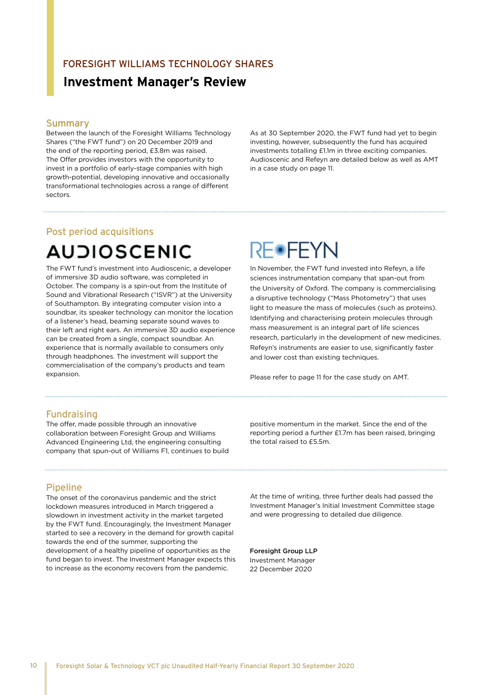### FORESIGHT WILLIAMS TECHNOLOGY SHARES

### **Investment Manager's Review**

#### Summary

Between the launch of the Foresight Williams Technology Shares ("the FWT fund") on 20 December 2019 and the end of the reporting period, £3.8m was raised. The Offer provides investors with the opportunity to invest in a portfolio of early-stage companies with high growth-potential, developing innovative and occasionally transformational technologies across a range of different sectors.

As at 30 September 2020, the FWT fund had yet to begin investing, however, subsequently the fund has acquired investments totalling £1.1m in three exciting companies. Audioscenic and Refeyn are detailed below as well as AMT in a case study on page 11.

### Post period acquisitions

## **AUDIOSCENIC**

The FWT fund's investment into Audioscenic, a developer of immersive 3D audio software, was completed in October. The company is a spin-out from the Institute of Sound and Vibrational Research ("ISVR") at the University of Southampton. By integrating computer vision into a soundbar, its speaker technology can monitor the location of a listener's head, beaming separate sound waves to their left and right ears. An immersive 3D audio experience can be created from a single, compact soundbar. An experience that is normally available to consumers only through headphones. The investment will support the commercialisation of the company's products and team expansion.

# **REOFEYN**

In November, the FWT fund invested into Refeyn, a life sciences instrumentation company that span-out from the University of Oxford. The company is commercialising a disruptive technology ("Mass Photometry") that uses light to measure the mass of molecules (such as proteins). Identifying and characterising protein molecules through mass measurement is an integral part of life sciences research, particularly in the development of new medicines. Refeyn's instruments are easier to use, significantly faster and lower cost than existing techniques.

Please refer to page 11 for the case study on AMT.

### Fundraising

The offer, made possible through an innovative collaboration between Foresight Group and Williams Advanced Engineering Ltd, the engineering consulting company that spun-out of Williams F1, continues to build positive momentum in the market. Since the end of the reporting period a further £1.7m has been raised, bringing the total raised to £5.5m.

### Pipeline

The onset of the coronavirus pandemic and the strict lockdown measures introduced in March triggered a slowdown in investment activity in the market targeted by the FWT fund. Encouragingly, the Investment Manager started to see a recovery in the demand for growth capital towards the end of the summer, supporting the development of a healthy pipeline of opportunities as the fund began to invest. The Investment Manager expects this to increase as the economy recovers from the pandemic.

At the time of writing, three further deals had passed the Investment Manager's Initial Investment Committee stage and were progressing to detailed due diligence.

Foresight Group LLP Investment Manager 22 December 2020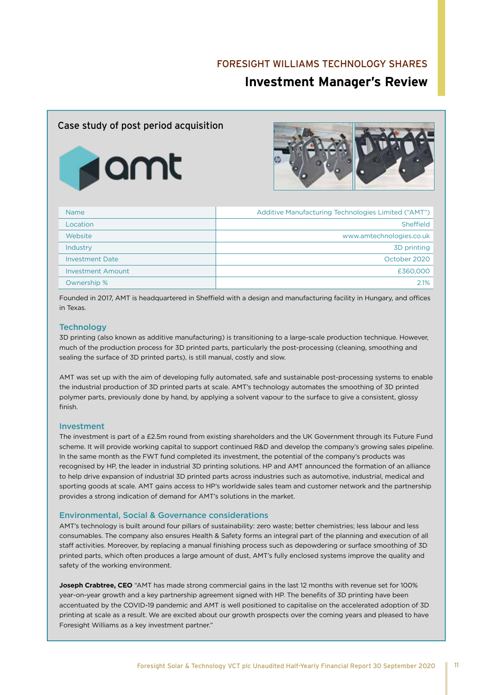### FORESIGHT WILLIAMS TECHNOLOGY SHARES

### **Investment Manager's Review**

### Case study of post period acquisition





| <b>Name</b>              | Additive Manufacturing Technologies Limited ("AMT") |
|--------------------------|-----------------------------------------------------|
| Location                 | Sheffield                                           |
| Website                  | www.amtechnologies.co.uk                            |
| Industry                 | 3D printing                                         |
| <b>Investment Date</b>   | October 2020                                        |
| <b>Investment Amount</b> | £360,000                                            |
| Ownership %              | 2.1%                                                |

Founded in 2017, AMT is headquartered in Sheffield with a design and manufacturing facility in Hungary, and offices in Texas.

#### **Technology**

3D printing (also known as additive manufacturing) is transitioning to a large-scale production technique. However, much of the production process for 3D printed parts, particularly the post-processing (cleaning, smoothing and sealing the surface of 3D printed parts), is still manual, costly and slow.

AMT was set up with the aim of developing fully automated, safe and sustainable post-processing systems to enable the industrial production of 3D printed parts at scale. AMT's technology automates the smoothing of 3D printed polymer parts, previously done by hand, by applying a solvent vapour to the surface to give a consistent, glossy finish.

#### Investment

The investment is part of a £2.5m round from existing shareholders and the UK Government through its Future Fund scheme. It will provide working capital to support continued R&D and develop the company's growing sales pipeline. In the same month as the FWT fund completed its investment, the potential of the company's products was recognised by HP, the leader in industrial 3D printing solutions. HP and AMT announced the formation of an alliance to help drive expansion of industrial 3D printed parts across industries such as automotive, industrial, medical and sporting goods at scale. AMT gains access to HP's worldwide sales team and customer network and the partnership provides a strong indication of demand for AMT's solutions in the market.

#### Environmental, Social & Governance considerations

AMT's technology is built around four pillars of sustainability: zero waste; better chemistries; less labour and less consumables. The company also ensures Health & Safety forms an integral part of the planning and execution of all staff activities. Moreover, by replacing a manual finishing process such as depowdering or surface smoothing of 3D printed parts, which often produces a large amount of dust, AMT's fully enclosed systems improve the quality and safety of the working environment.

**Joseph Crabtree, CEO** "AMT has made strong commercial gains in the last 12 months with revenue set for 100% year-on-year growth and a key partnership agreement signed with HP. The benefits of 3D printing have been accentuated by the COVID-19 pandemic and AMT is well positioned to capitalise on the accelerated adoption of 3D printing at scale as a result. We are excited about our growth prospects over the coming years and pleased to have Foresight Williams as a key investment partner."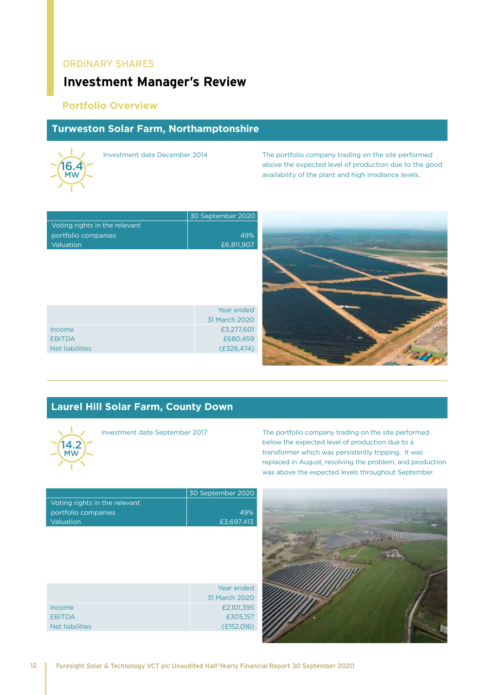### **Investment Manager's Review**

### **Portfolio Overview**

### **Turweston Solar Farm, Northamptonshire**



Investment date December 2014

30 September 2020

The portfolio company trading on the site performed above the expected level of production due to the good availability of the plant and high irradiance levels.

| Voting rights in the relevant<br>portfolio companies<br>Valuation | 49%<br>£6,811,907 |
|-------------------------------------------------------------------|-------------------|
|                                                                   |                   |
|                                                                   | Year ended        |
|                                                                   | 31 March 2020     |
| Income                                                            | £3,277,601        |
| <b>EBITDA</b>                                                     | £680,459          |
| Net liabilities                                                   | (E326.474)        |



### **Laurel Hill Solar Farm, County Down**



Investment date September 2017

The portfolio company trading on the site performed below the expected level of production due to a transformer which was persistently tripping. It was replaced in August, resolving the problem, and production was above the expected levels throughout September.

|                               | 30 September 2020 |
|-------------------------------|-------------------|
| Voting rights in the relevant |                   |
| portfolio companies           | 49%               |
| Valuation                     | £3,697,413        |

|                 | Year ended    |
|-----------------|---------------|
|                 | 31 March 2020 |
| Income          | £2,101,395    |
| <b>EBITDA</b>   | £305.157      |
| Net liabilities | (E152,016)    |

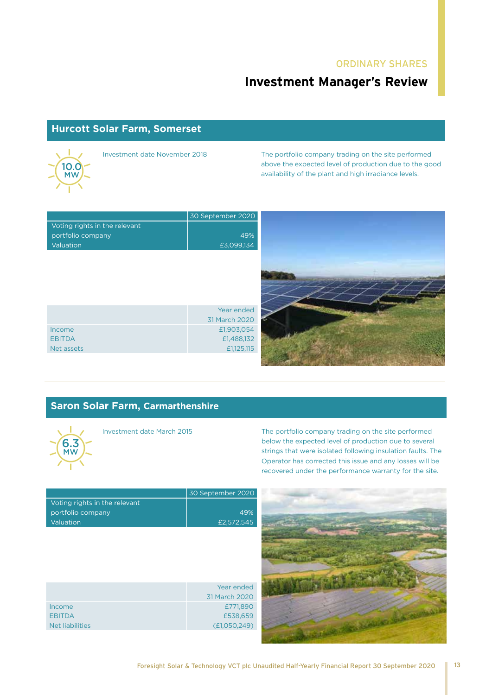### **Investment Manager's Review**

### **Hurcott Solar Farm, Somerset**



Investment date November 2018

The portfolio company trading on the site performed above the expected level of production due to the good availability of the plant and high irradiance levels.

|                               | 30 September 2020 |  |
|-------------------------------|-------------------|--|
| Voting rights in the relevant |                   |  |
| portfolio company             | 49%               |  |
| Valuation                     | £3,099,134        |  |
|                               |                   |  |
|                               |                   |  |
|                               |                   |  |
|                               |                   |  |
|                               |                   |  |
|                               |                   |  |
|                               | Year ended        |  |
|                               | 31 March 2020     |  |
| Income                        | £1,903,054        |  |
| <b>EBITDA</b>                 | £1,488,132        |  |
| Net assets                    | £1,125,115        |  |
|                               |                   |  |

### **Saron Solar Farm, Carmarthenshire**



Investment date March 2015

The portfolio company trading on the site performed below the expected level of production due to several strings that were isolated following insulation faults. The Operator has corrected this issue and any losses will be recovered under the performance warranty for the site.

|                               | 30 September 2020 |
|-------------------------------|-------------------|
| Voting rights in the relevant |                   |
| portfolio company             | 49%               |
| Valuation                     | £2,572,545        |

|                 | Year ended    |
|-----------------|---------------|
|                 | 31 March 2020 |
| Income          | £771,890      |
| <b>EBITDA</b>   | £538,659      |
| Net liabilities | (E1,050,249)  |

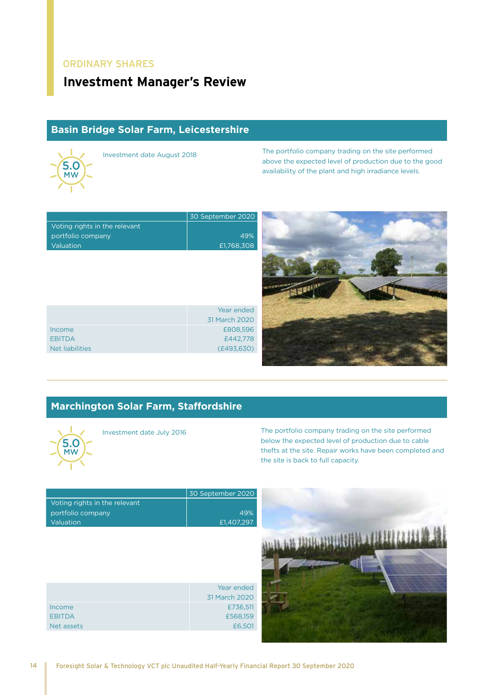### **Investment Manager's Review**

### **Basin Bridge Solar Farm, Leicestershire**



Investment date August 2018

The portfolio company trading on the site performed above the expected level of production due to the good availability of the plant and high irradiance levels.

|                               | 30 September 2020 |
|-------------------------------|-------------------|
| Voting rights in the relevant |                   |
| portfolio company             | 49%               |
| Valuation                     | £1,768,308        |
|                               |                   |

|                 | Year ended    |
|-----------------|---------------|
|                 | 31 March 2020 |
| Income          | £808,596      |
| <b>EBITDA</b>   | £442,778      |
| Net liabilities | (E493.630)    |
|                 |               |



### **Marchington Solar Farm, Staffordshire**



Investment date July 2016

The portfolio company trading on the site performed below the expected level of production due to cable thefts at the site. Repair works have been completed and the site is back to full capacity.

|                               | 30 September 2020 |
|-------------------------------|-------------------|
| Voting rights in the relevant |                   |
| portfolio company             | 49%               |
| Valuation                     | £1.407.297        |

|               | Year ended    |
|---------------|---------------|
|               | 31 March 2020 |
| Income        | £736.511      |
| <b>EBITDA</b> | £568,159      |
| Net assets    | £6,501        |

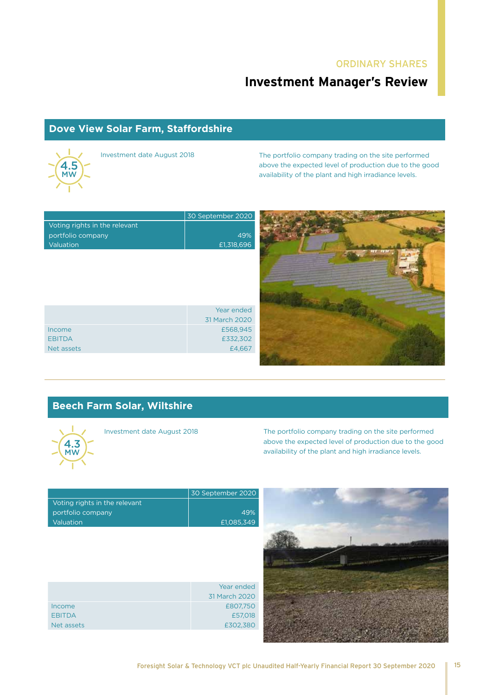### **Investment Manager's Review**

### **Dove View Solar Farm, Staffordshire**



Investment date August 2018

The portfolio company trading on the site performed above the expected level of production due to the good availability of the plant and high irradiance levels.

|                               | 30 September 2020 |  |
|-------------------------------|-------------------|--|
| Voting rights in the relevant |                   |  |
| portfolio company             | 49%               |  |
| Valuation                     | £1,318,696        |  |
|                               |                   |  |
|                               | Year ended        |  |
|                               | 31 March 2020     |  |
| Income                        | £568,945          |  |
| <b>EBITDA</b>                 | £332,302          |  |
| Net assets                    | £4,667            |  |
|                               |                   |  |



### **Beech Farm Solar, Wiltshire**



Investment date August 2018

|                               | 30 September 2020 |
|-------------------------------|-------------------|
| Voting rights in the relevant |                   |
| portfolio company             | 49%               |
| Valuation                     | £1,085,349        |

|               | Year ended    |
|---------------|---------------|
|               | 31 March 2020 |
| Income        | £807,750      |
| <b>EBITDA</b> | £57,018       |
| Net assets    | £302,380      |
|               |               |

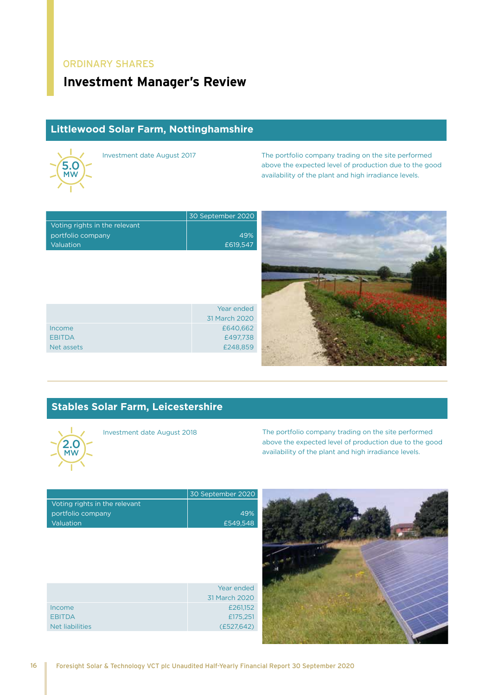### **Investment Manager's Review**

### **Littlewood Solar Farm, Nottinghamshire**



Investment date August 2017

The portfolio company trading on the site performed above the expected level of production due to the good availability of the plant and high irradiance levels.

|                               | 30 September 2020 |  |
|-------------------------------|-------------------|--|
| Voting rights in the relevant |                   |  |
| portfolio company             | 49%               |  |
| Valuation                     | £619,547          |  |
|                               |                   |  |
|                               |                   |  |
|                               |                   |  |
|                               |                   |  |
|                               |                   |  |
|                               |                   |  |
|                               | Year ended        |  |
|                               | 31 March 2020     |  |
| Income                        | £640,662          |  |
| <b>EBITDA</b>                 | £497,738          |  |
| Net assets                    | £248,859          |  |
|                               |                   |  |

### **Stables Solar Farm, Leicestershire**



Investment date August 2018

|                               | 30 September 2020 |
|-------------------------------|-------------------|
| Voting rights in the relevant |                   |
| portfolio company             | 49%               |
| Valuation                     | £549.548          |

|                 | Year ended    |
|-----------------|---------------|
|                 | 31 March 2020 |
| Income          | £261,152      |
| <b>EBITDA</b>   | £175.251      |
| Net liabilities | (E527.642)    |
|                 |               |

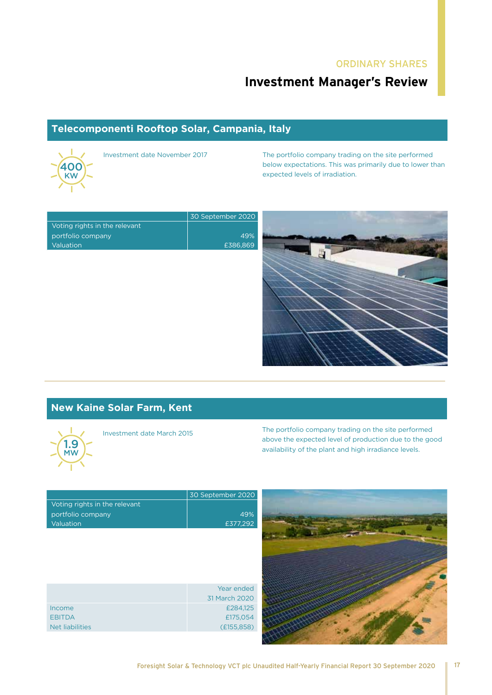### **Investment Manager's Review**

### **Telecomponenti Rooftop Solar, Campania, Italy**



Investment date November 2017

The portfolio company trading on the site performed below expectations. This was primarily due to lower than expected levels of irradiation.

|                               | 30 September 2020 |
|-------------------------------|-------------------|
| Voting rights in the relevant |                   |
| portfolio company             | 49%               |
| Valuation <sup>1</sup>        | £386,869          |



### **New Kaine Solar Farm, Kent**



Investment date March 2015

|                               | 30 September 2020 |
|-------------------------------|-------------------|
| Voting rights in the relevant |                   |
| portfolio company             | 49%               |
| Valuation                     | £377.292          |
|                               |                   |

|                 | Year ended    |
|-----------------|---------------|
|                 | 31 March 2020 |
| Income          | £284,125      |
| <b>EBITDA</b>   | £175,054      |
| Net liabilities | (E155, 858)   |

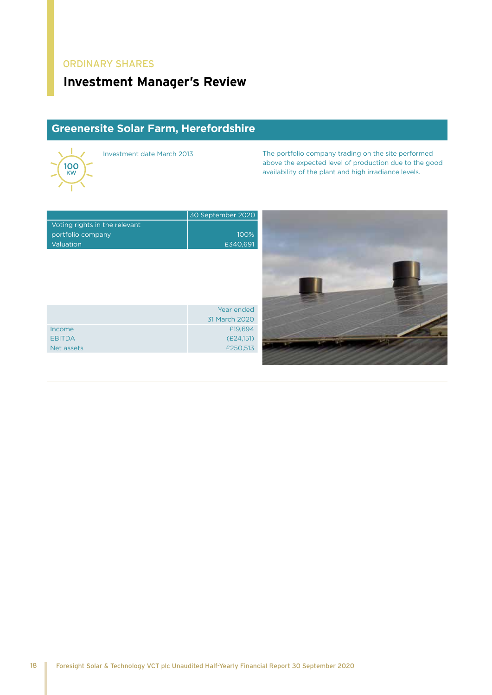## **Investment Manager's Review**

### **Greenersite Solar Farm, Herefordshire**



Investment date March 2013

|                               | 30 September 2020 |
|-------------------------------|-------------------|
| Voting rights in the relevant |                   |
| portfolio company             | 100%              |
| Valuation                     | £340,691          |
|                               |                   |
|                               |                   |
|                               |                   |
|                               |                   |
|                               |                   |
|                               |                   |
|                               | Year ended        |
|                               | 31 March 2020     |
| Income                        | £19,694           |
| <b>EBITDA</b>                 | (E24,151)         |
| Net assets                    | £250,513          |

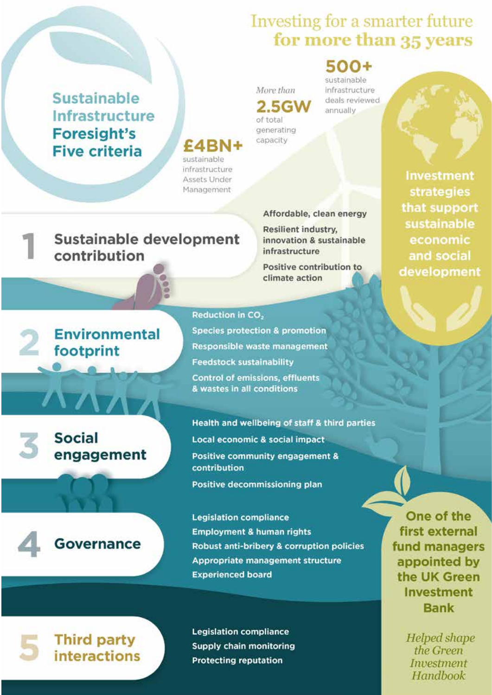## Investing for a smarter future for more than 35 years

## $500+$

More than **2.5GW** of total generating capacity

sustainable Infrastructure deals reviewed annually

**Investment** strategies that support

## Sustainable development contribution

### Affordable, clean energy

**Resilient industry,** innovation & sustainable infrastructure

Positive contribution to climate action

sustainable economic and social development

## **Environmental** footprint

 $\boldsymbol{V}$ 

Sustainable

Foresight's

**Five criteria** 

Infrastructure





### **Reduction in CO.**

£4BN+

sustainable infrastructure

Assets Under Management

> **Species protection & promotion Responsible waste management Feedstock sustainability Control of emissions, effluents** & wastes in all conditions

Health and wellbeing of staff & third parties Local economic & social impact Positive community engagement & contribution Positive decommissioning plan

**Legislation compliance Employment & human rights Robust anti-bribery & corruption policies** Appropriate management structure **Experienced board** 

**Third party** interactions **Legislation compliance Supply chain monitoring Protecting reputation** 

One of the first external fund managers appointed by the UK Green Investment **Bank** 

> **Helped shape** the Green **Investment** Handbook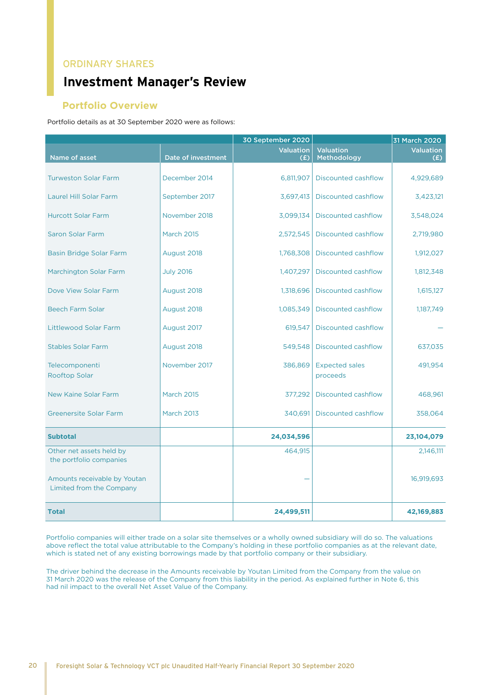### **Investment Manager's Review**

### **Portfolio Overview**

Portfolio details as at 30 September 2020 were as follows:

|                                                          |                    | 30 September 2020       |                                   | 31 March 2020           |
|----------------------------------------------------------|--------------------|-------------------------|-----------------------------------|-------------------------|
| Name of asset                                            | Date of investment | <b>Valuation</b><br>(E) | <b>Valuation</b><br>Methodology   | <b>Valuation</b><br>(E) |
| <b>Turweston Solar Farm</b>                              | December 2014      | 6,811,907               | Discounted cashflow               | 4,929,689               |
| <b>Laurel Hill Solar Farm</b>                            | September 2017     | 3,697,413               | <b>Discounted cashflow</b>        | 3,423,121               |
| <b>Hurcott Solar Farm</b>                                | November 2018      | 3,099,134               | <b>Discounted cashflow</b>        | 3,548,024               |
| <b>Saron Solar Farm</b>                                  | <b>March 2015</b>  | 2,572,545               | <b>Discounted cashflow</b>        | 2,719,980               |
| <b>Basin Bridge Solar Farm</b>                           | August 2018        | 1,768,308               | <b>Discounted cashflow</b>        | 1,912,027               |
| Marchington Solar Farm                                   | <b>July 2016</b>   | 1,407,297               | Discounted cashflow               | 1,812,348               |
| Dove View Solar Farm                                     | August 2018        | 1,318,696               | Discounted cashflow               | 1,615,127               |
| <b>Beech Farm Solar</b>                                  | August 2018        | 1,085,349               | <b>Discounted cashflow</b>        | 1,187,749               |
| <b>Littlewood Solar Farm</b>                             | August 2017        | 619,547                 | <b>Discounted cashflow</b>        |                         |
| <b>Stables Solar Farm</b>                                | August 2018        | 549,548                 | Discounted cashflow               | 637,035                 |
| Telecomponenti<br><b>Rooftop Solar</b>                   | November 2017      | 386,869                 | <b>Expected sales</b><br>proceeds | 491,954                 |
| <b>New Kaine Solar Farm</b>                              | <b>March 2015</b>  | 377,292                 | <b>Discounted cashflow</b>        | 468,961                 |
| <b>Greenersite Solar Farm</b>                            | <b>March 2013</b>  | 340,691                 | <b>Discounted cashflow</b>        | 358,064                 |
| <b>Subtotal</b>                                          |                    | 24,034,596              |                                   | 23,104,079              |
| Other net assets held by<br>the portfolio companies      |                    | 464,915                 |                                   | 2,146,111               |
| Amounts receivable by Youtan<br>Limited from the Company |                    |                         |                                   | 16,919,693              |
| <b>Total</b>                                             |                    | 24,499,511              |                                   | 42,169,883              |

Portfolio companies will either trade on a solar site themselves or a wholly owned subsidiary will do so. The valuations above reflect the total value attributable to the Company's holding in these portfolio companies as at the relevant date, which is stated net of any existing borrowings made by that portfolio company or their subsidiary.

The driver behind the decrease in the Amounts receivable by Youtan Limited from the Company from the value on 31 March 2020 was the release of the Company from this liability in the period. As explained further in Note 6, this had nil impact to the overall Net Asset Value of the Company.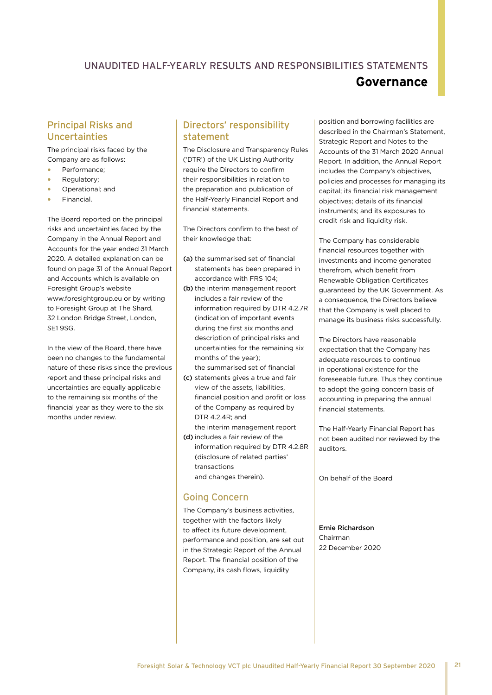### **Governance** UNAUDITED HALF-YEARLY RESULTS AND RESPONSIBILITIES STATEMENTS

### Principal Risks and Uncertainties

The principal risks faced by the Company are as follows:

- Performance:
- Regulatory;
- Operational; and
- Financial.

The Board reported on the principal risks and uncertainties faced by the Company in the Annual Report and Accounts for the year ended 31 March 2020. A detailed explanation can be found on page 31 of the Annual Report and Accounts which is available on Foresight Group's website www.foresightgroup.eu or by writing to Foresight Group at The Shard, 32 London Bridge Street, London, SE1 9SG.

In the view of the Board, there have been no changes to the fundamental nature of these risks since the previous report and these principal risks and uncertainties are equally applicable to the remaining six months of the financial year as they were to the six months under review.

### Directors' responsibility statement

The Disclosure and Transparency Rules ('DTR') of the UK Listing Authority require the Directors to confirm their responsibilities in relation to the preparation and publication of the Half-Yearly Financial Report and financial statements.

The Directors confirm to the best of their knowledge that:

- (a) the summarised set of financial statements has been prepared in accordance with FRS 104;
- (b) the interim management report includes a fair review of the information required by DTR 4.2.7R (indication of important events during the first six months and description of principal risks and uncertainties for the remaining six months of the year); the summarised set of financial
- (c) statements gives a true and fair view of the assets, liabilities, financial position and profit or loss of the Company as required by DTR 4.2.4R; and

the interim management report

(d) includes a fair review of the information required by DTR 4.2.8R (disclosure of related parties' transactions and changes therein).

### Going Concern

The Company's business activities, together with the factors likely to affect its future development, performance and position, are set out in the Strategic Report of the Annual Report. The financial position of the Company, its cash flows, liquidity

position and borrowing facilities are described in the Chairman's Statement, Strategic Report and Notes to the Accounts of the 31 March 2020 Annual Report. In addition, the Annual Report includes the Company's objectives, policies and processes for managing its capital; its financial risk management objectives; details of its financial instruments; and its exposures to credit risk and liquidity risk.

The Company has considerable financial resources together with investments and income generated therefrom, which benefit from Renewable Obligation Certificates guaranteed by the UK Government. As a consequence, the Directors believe that the Company is well placed to manage its business risks successfully.

The Directors have reasonable expectation that the Company has adequate resources to continue in operational existence for the foreseeable future. Thus they continue to adopt the going concern basis of accounting in preparing the annual financial statements.

The Half-Yearly Financial Report has not been audited nor reviewed by the auditors.

On behalf of the Board

Ernie Richardson Chairman 22 December 2020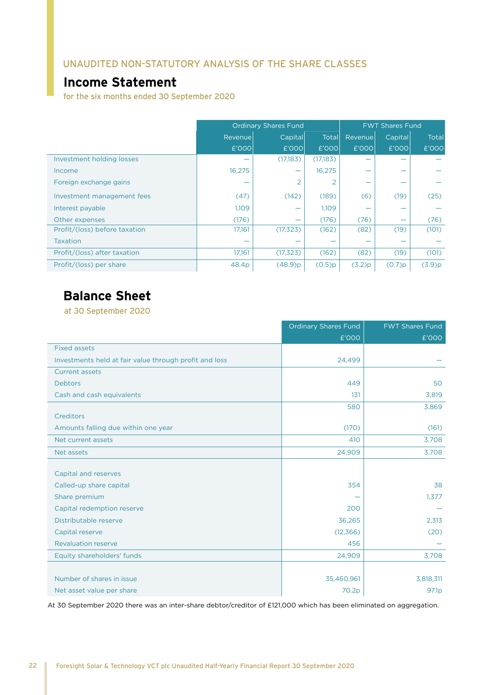### UNAUDITED NON-STATUTORY ANALYSIS OF THE SHARE CLASSES

### **Income Statement**

for the six months ended 30 September 2020

|                               | <b>Ordinary Shares Fund</b> | <b>FWT Shares Fund</b> |          |          |         |              |
|-------------------------------|-----------------------------|------------------------|----------|----------|---------|--------------|
|                               | Revenue                     | Capital                | Total    | Revenuel | Capital | <b>Total</b> |
|                               | £'000                       | £'000                  | £'000    | E'OOO    | £'000   | £'000        |
| Investment holding losses     |                             | (17,183)               | (17,183) |          |         |              |
| Income                        | 16,275                      | -                      | 16,275   |          |         |              |
| Foreign exchange gains        |                             | $\overline{2}$         |          |          |         |              |
| Investment management fees    | (47)                        | (142)                  | (189)    | (6)      | (19)    | (25)         |
| Interest payable              | 1,109                       |                        | 1,109    |          |         |              |
| Other expenses                | (176)                       |                        | (176)    | (76)     |         | (76)         |
| Profit/(loss) before taxation | 17,161                      | (17, 323)              | (162)    | (82)     | (19)    | (101)        |
| <b>Taxation</b>               |                             |                        |          |          |         |              |
| Profit/(loss) after taxation  | 17,161                      | (17, 323)              | (162)    | (82)     | (19)    | (101)        |
| Profit/(loss) per share       | 48.4p                       | (48.9)p                | (0.5)p   | (3.2)p   | (0.7)p  | (3.9)p       |

### **Balance Sheet**

### at 30 September 2020

|                                                        | <b>Ordinary Shares Fund</b> | <b>FWT Shares Fund</b> |
|--------------------------------------------------------|-----------------------------|------------------------|
|                                                        | £'000                       | £'000                  |
| <b>Fixed assets</b>                                    |                             |                        |
| Investments held at fair value through profit and loss | 24,499                      |                        |
| <b>Current assets</b>                                  |                             |                        |
| <b>Debtors</b>                                         | 449                         | 50                     |
| Cash and cash equivalents                              | 131                         | 3,819                  |
|                                                        | 580                         | 3,869                  |
| <b>Creditors</b>                                       |                             |                        |
| Amounts falling due within one year                    | (170)                       | (161)                  |
| Net current assets                                     | 410                         | 3,708                  |
| Net assets                                             | 24,909                      | 3,708                  |
|                                                        |                             |                        |
| Capital and reserves                                   |                             |                        |
| Called-up share capital                                | 354                         | 38                     |
| Share premium                                          |                             | 1,377                  |
| Capital redemption reserve                             | 200                         |                        |
| Distributable reserve                                  | 36,265                      | 2,313                  |
| Capital reserve                                        | (12, 366)                   | (20)                   |
| <b>Revaluation reserve</b>                             | 456                         |                        |
| Equity shareholders' funds                             | 24,909                      | 3,708                  |
|                                                        |                             |                        |
| Number of shares in issue                              | 35,460,961                  | 3,818,311              |
| Net asset value per share                              | 70.2p                       | 97.1p                  |

At 30 September 2020 there was an inter-share debtor/creditor of £121,000 which has been eliminated on aggregation.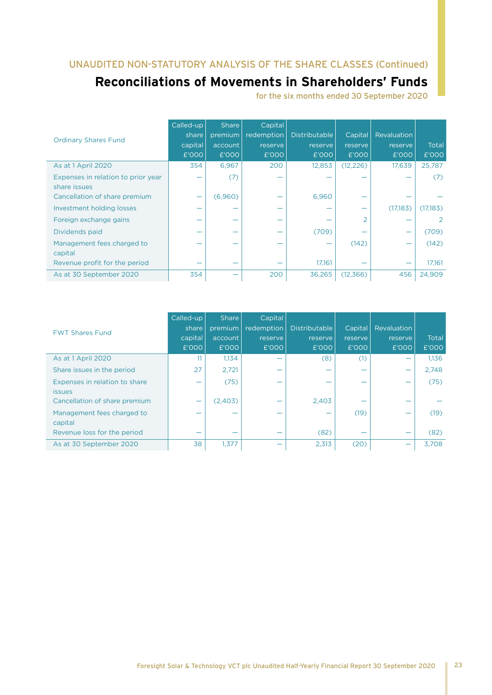UNAUDITED NON-STATUTORY ANALYSIS OF THE SHARE CLASSES (Continued)

### **Reconciliations of Movements in Shareholders' Funds**

for the six months ended 30 September 2020

| <b>Ordinary Shares Fund</b>                        | Called-up<br>share<br>capital<br>£'000 | <b>Share</b><br>premium<br>account<br>£'000 | Capital<br>redemption<br>reserve<br>£'000 | <b>Distributable</b><br>reserve<br>£'000 | Capital<br>reserve<br>£'000 | <b>Revaluation</b><br>reserve<br>£'000 | <b>Total</b><br>£'000 |
|----------------------------------------------------|----------------------------------------|---------------------------------------------|-------------------------------------------|------------------------------------------|-----------------------------|----------------------------------------|-----------------------|
| As at 1 April 2020                                 | 354                                    | 6,967                                       | 200                                       | 12,853                                   | (12, 226)                   | 17,639                                 | 25,787                |
| Expenses in relation to prior year<br>share issues |                                        | (7)                                         |                                           |                                          |                             |                                        | (7)                   |
| Cancellation of share premium                      | -                                      | (6,960)                                     |                                           | 6,960                                    |                             |                                        |                       |
| Investment holding losses                          |                                        |                                             |                                           |                                          |                             | (17,183)                               | (17,183)              |
| Foreign exchange gains                             |                                        |                                             |                                           |                                          | $\overline{2}$              |                                        |                       |
| Dividends paid                                     |                                        |                                             |                                           | (709)                                    |                             |                                        | (709)                 |
| Management fees charged to<br>capital              |                                        |                                             |                                           |                                          | (142)                       |                                        | (142)                 |
| Revenue profit for the period                      |                                        |                                             |                                           | 17.161                                   |                             |                                        | 17,161                |
| As at 30 September 2020                            | 354                                    |                                             | 200                                       | 36.265                                   | (12, 366)                   | 456                                    | 24,909                |

| <b>FWT Shares Fund</b>        | Called-up<br>share | Share<br>premium | Capital<br>redemption | <b>Distributable</b> | Capital | <b>Revaluation</b> |       |
|-------------------------------|--------------------|------------------|-----------------------|----------------------|---------|--------------------|-------|
|                               | capital            | account          | reserve               | reserve              | reserve | reserve            | Total |
|                               | £'000              | E'OOO            | E'OOO                 | E'OOO                | £'000   | £'000              | £'000 |
| As at 1 April 2020            | 11                 | 1,134            |                       | (8)                  | (1)     |                    | 1,136 |
| Share issues in the period    | 27                 | 2,721            |                       |                      |         |                    | 2,748 |
| Expenses in relation to share |                    | (75)             |                       |                      |         |                    | (75)  |
| <i>issues</i>                 |                    |                  |                       |                      |         |                    |       |
| Cancellation of share premium | —                  | (2,403)          |                       | 2,403                |         |                    |       |
| Management fees charged to    |                    |                  |                       |                      | (19)    |                    | (19)  |
| capital                       |                    |                  |                       |                      |         |                    |       |
| Revenue loss for the period   |                    |                  |                       | (82)                 |         |                    | (82)  |
| As at 30 September 2020       | 38                 | 1.377            |                       | 2.313                | (20)    |                    | 3.708 |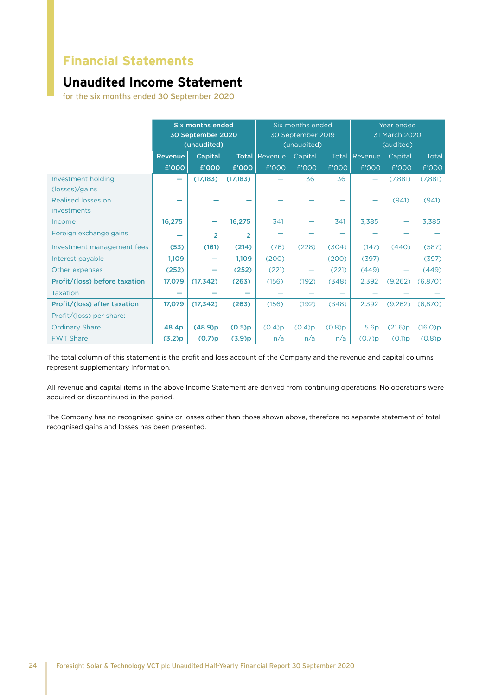### **Financial Statements**

### **Unaudited Income Statement**

for the six months ended 30 September 2020

|                                                     | <b>Six months ended</b><br>30 September 2020<br>(unaudited) |                | Six months ended<br>30 September 2019<br>(unaudited) |         |                          | Year ended<br>31 March 2020<br>(audited) |         |         |              |
|-----------------------------------------------------|-------------------------------------------------------------|----------------|------------------------------------------------------|---------|--------------------------|------------------------------------------|---------|---------|--------------|
|                                                     | <b>Revenue</b>                                              | Capital        | <b>Total</b>                                         | Revenue | Capital                  | <b>Total</b>                             | Revenue | Capital | <b>Total</b> |
|                                                     | £'000                                                       | £'000          | £'000                                                | £'000   | £'000                    | £'000                                    | £'000   | £'000   | £'000        |
| Investment holding<br>$(\text{losses})/\text{gain}$ |                                                             | (17, 183)      | (17, 183)                                            |         | 36                       | 36                                       | -       | (7,881) | (7,881)      |
| <b>Realised losses on</b><br>investments            |                                                             |                |                                                      |         |                          |                                          |         | (941)   | (941)        |
| Income                                              | 16,275                                                      | -              | 16,275                                               | 341     |                          | 341                                      | 3,385   |         | 3,385        |
| Foreign exchange gains                              |                                                             | $\overline{2}$ | $\overline{2}$                                       |         |                          |                                          |         |         |              |
| Investment management fees                          | (53)                                                        | (161)          | (214)                                                | (76)    | (228)                    | (304)                                    | (147)   | (440)   | (587)        |
| Interest payable                                    | 1,109                                                       |                | 1,109                                                | (200)   | -                        | (200)                                    | (397)   |         | (397)        |
| Other expenses                                      | (252)                                                       |                | (252)                                                | (221)   | $\overline{\phantom{0}}$ | (221)                                    | (449)   |         | (449)        |
| Profit/(loss) before taxation                       | 17,079                                                      | (17, 342)      | (263)                                                | (156)   | (192)                    | (348)                                    | 2,392   | (9,262) | (6,870)      |
| Taxation                                            |                                                             |                |                                                      |         |                          |                                          |         |         |              |
| Profit/(loss) after taxation                        | 17,079                                                      | (17, 342)      | (263)                                                | (156)   | (192)                    | (348)                                    | 2,392   | (9,262) | (6,870)      |
| Profit/(loss) per share:                            |                                                             |                |                                                      |         |                          |                                          |         |         |              |
| <b>Ordinary Share</b>                               | 48.4p                                                       | (48.9)p        | (0.5)p                                               | (0.4)p  | (0.4)p                   | $(0.8)$ p                                | 5.6p    | (21.6)p | (16.0)p      |
| <b>FWT Share</b>                                    | (3.2)p                                                      | (0.7)p         | (3.9)p                                               | n/a     | n/a                      | n/a                                      | (0.7)p  | (0.1)p  | $(0.8)$ p    |

The total column of this statement is the profit and loss account of the Company and the revenue and capital columns represent supplementary information.

All revenue and capital items in the above Income Statement are derived from continuing operations. No operations were acquired or discontinued in the period.

The Company has no recognised gains or losses other than those shown above, therefore no separate statement of total recognised gains and losses has been presented.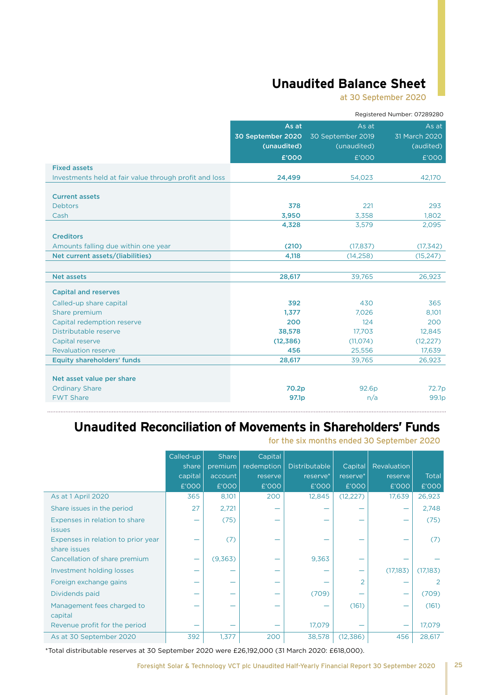## **Unaudited Balance Sheet**

at 30 September 2020

|                                                        |                                           |                                           | Registered Number: 07289280         |
|--------------------------------------------------------|-------------------------------------------|-------------------------------------------|-------------------------------------|
|                                                        | As at<br>30 September 2020<br>(unaudited) | As at<br>30 September 2019<br>(unaudited) | As at<br>31 March 2020<br>(audited) |
|                                                        | £'000                                     | £'000                                     | £'000                               |
| <b>Fixed assets</b>                                    |                                           |                                           |                                     |
| Investments held at fair value through profit and loss | 24,499                                    | 54,023                                    | 42,170                              |
| <b>Current assets</b>                                  |                                           |                                           |                                     |
| <b>Debtors</b>                                         | 378                                       | 221                                       | 293                                 |
| Cash                                                   | 3,950                                     | 3,358                                     | 1,802                               |
|                                                        | 4,328                                     | 3,579                                     | 2,095                               |
| <b>Creditors</b>                                       |                                           |                                           |                                     |
| Amounts falling due within one year                    | (210)                                     | (17, 837)                                 | (17, 342)                           |
| Net current assets/(liabilities)                       | 4,118                                     | (14, 258)                                 | (15, 247)                           |
|                                                        |                                           |                                           |                                     |
| <b>Net assets</b>                                      | 28,617                                    | 39,765                                    | 26,923                              |
| <b>Capital and reserves</b>                            |                                           |                                           |                                     |
| Called-up share capital                                | 392                                       | 430                                       | 365                                 |
| Share premium                                          | 1,377                                     | 7.026                                     | 8,101                               |
| Capital redemption reserve                             | 200                                       | 124                                       | 200                                 |
| Distributable reserve                                  | 38,578                                    | 17,703                                    | 12,845                              |
| Capital reserve                                        | (12, 386)                                 | (11, 074)                                 | (12, 227)                           |
| <b>Revaluation reserve</b>                             | 456                                       | 25,556                                    | 17,639                              |
| <b>Equity shareholders' funds</b>                      | 28,617                                    | 39,765                                    | 26,923                              |
| Net asset value per share<br><b>Ordinary Share</b>     | 70.2p                                     | 92.6p                                     | 72.7p                               |
| <b>FWT Share</b>                                       | 97.1p                                     | n/a                                       | 99.1p                               |
|                                                        |                                           |                                           |                                     |

### **Unaudited Reconciliation of Movements in Shareholders' Funds**

for the six months ended 30 September 2020

|                                    | Called-up | <b>Share</b> | Capital    |                      |                |             |              |
|------------------------------------|-----------|--------------|------------|----------------------|----------------|-------------|--------------|
|                                    | share     | premium      | redemption | <b>Distributable</b> | Capital        | Revaluation |              |
|                                    | capital   | account      | reserve    | reserve*             | reserve*       | reserve     | <b>Total</b> |
|                                    | £'000     | £'000        | £'000      | £'000                | £'000          | £'000       | £'000        |
| As at 1 April 2020                 | 365       | 8,101        | 200        | 12,845               | (12, 227)      | 17,639      | 26,923       |
| Share issues in the period         | 27        | 2,721        |            |                      |                |             | 2,748        |
| Expenses in relation to share      |           | (75)         |            |                      |                |             | (75)         |
| <i>issues</i>                      |           |              |            |                      |                |             |              |
| Expenses in relation to prior year |           | (7)          |            |                      |                |             | (7)          |
| share issues                       |           |              |            |                      |                |             |              |
| Cancellation of share premium      |           | (9,363)      |            | 9,363                |                |             |              |
| Investment holding losses          |           |              |            |                      |                | (17,183)    | (17,183)     |
| Foreign exchange gains             |           |              |            |                      | $\overline{2}$ |             | 2            |
| Dividends paid                     |           |              |            | (709)                |                |             | (709)        |
| Management fees charged to         |           |              |            |                      | (161)          |             | (161)        |
| capital                            |           |              |            |                      |                |             |              |
| Revenue profit for the period      |           |              |            | 17,079               |                |             | 17,079       |
| As at 30 September 2020            | 392       | 1,377        | 200        | 38,578               | (12, 386)      | 456         | 28,617       |

\*Total distributable reserves at 30 September 2020 were £26,192,000 (31 March 2020: £618,000).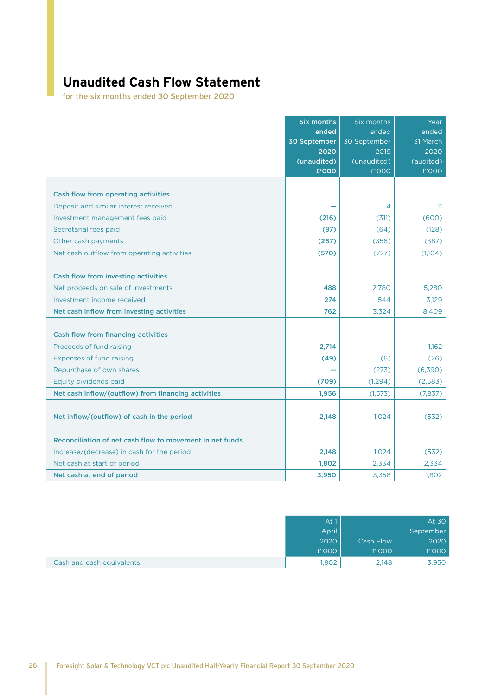## **Unaudited Cash Flow Statement**

for the six months ended 30 September 2020

|                                                          | <b>Six months</b>   | Six months   | Year      |
|----------------------------------------------------------|---------------------|--------------|-----------|
|                                                          | ended               | ended        | ended     |
|                                                          | <b>30 September</b> | 30 September | 31 March  |
|                                                          | 2020                | 2019         | 2020      |
|                                                          | (unaudited)         | (unaudited)  | (audited) |
|                                                          | £'000               | £'000        | £'000     |
|                                                          |                     |              |           |
| Cash flow from operating activities                      |                     |              |           |
| Deposit and similar interest received                    |                     | 4            | 11        |
| Investment management fees paid                          | (216)               | (311)        | (600)     |
| Secretarial fees paid                                    | (87)                | (64)         | (128)     |
| Other cash payments                                      | (267)               | (356)        | (387)     |
| Net cash outflow from operating activities               | (570)               | (727)        | (1,104)   |
|                                                          |                     |              |           |
| Cash flow from investing activities                      |                     |              |           |
| Net proceeds on sale of investments                      | 488                 | 2,780        | 5,280     |
| Investment income received                               | 274                 | 544          | 3,129     |
| Net cash inflow from investing activities                | 762                 | 3,324        | 8,409     |
|                                                          |                     |              |           |
| Cash flow from financing activities                      |                     |              |           |
| Proceeds of fund raising                                 | 2,714               |              | 1.162     |
| <b>Expenses of fund raising</b>                          | (49)                | (6)          | (26)      |
| Repurchase of own shares                                 |                     | (273)        | (6,390)   |
| Equity dividends paid                                    | (709)               | (1, 294)     | (2,583)   |
| Net cash inflow/(outflow) from financing activities      | 1,956               | (1,573)      | (7, 837)  |
|                                                          |                     |              |           |
| Net inflow/(outflow) of cash in the period               | 2,148               | 1,024        | (532)     |
|                                                          |                     |              |           |
| Reconciliation of net cash flow to movement in net funds |                     |              |           |
| Increase/(decrease) in cash for the period               | 2,148               | 1,024        | (532)     |
| Net cash at start of period                              | 1,802               | 2,334        | 2,334     |
| Net cash at end of period                                | 3,950               | 3,358        | 1,802     |

|                           | At $1$ |           | At 30     |
|---------------------------|--------|-----------|-----------|
|                           | April  |           | September |
|                           | 2020   | Cash Flow | 2020      |
|                           | £'000  | £'000     | £'000     |
| Cash and cash equivalents | 1,802  | 2,148     | 3,950     |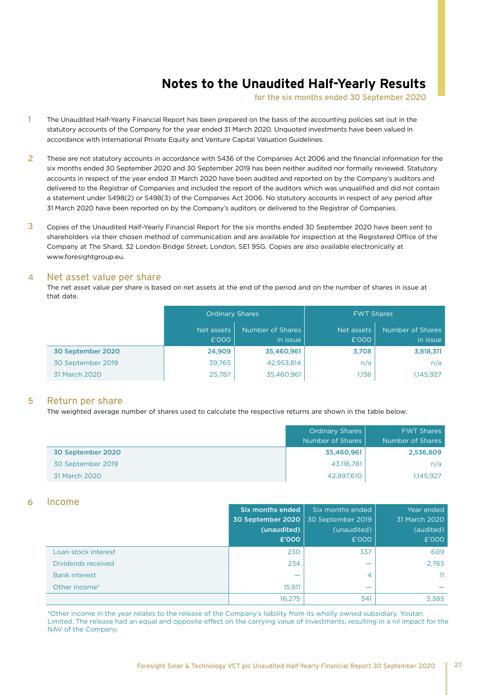### **Notes to the Unaudited Half-Yearly Results**

for the six months ended 30 September 2020

- 1 The Unaudited Half-Yearly Financial Report has been prepared on the basis of the accounting policies set out in the statutory accounts of the Company for the year ended 31 March 2020. Unquoted investments have been valued in accordance with International Private Equity and Venture Capital Valuation Guidelines.
- $\overline{2}$ These are not statutory accounts in accordance with S436 of the Companies Act 2006 and the financial information for the six months ended 30 September 2020 and 30 September 2019 has been neither audited nor formally reviewed. Statutory accounts in respect of the year ended 31 March 2020 have been audited and reported on by the Company's auditors and delivered to the Registrar of Companies and included the report of the auditors which was unqualified and did not contain a statement under S498(2) or S498(3) of the Companies Act 2006. No statutory accounts in respect of any period after 31 March 2020 have been reported on by the Company's auditors or delivered to the Registrar of Companies.
- 3 Copies of the Unaudited Half-Yearly Financial Report for the six months ended 30 September 2020 have been sent to shareholders via their chosen method of communication and are available for inspection at the Registered Office of the Company at The Shard, 32 London Bridge Street, London, SE1 9SG. Copies are also available electronically at www.foresightgroup.eu.

#### $\Delta$ Net asset value per share

The net asset value per share is based on net assets at the end of the period and on the number of shares in issue at that date.

|                   | <b>Ordinary Shares</b> |                              | <b>FWT Shares</b>   |                              |  |
|-------------------|------------------------|------------------------------|---------------------|------------------------------|--|
|                   | Net assets<br>E'OOO    | Number of Shares<br>in issue | Net assets<br>£'000 | Number of Shares<br>in issue |  |
| 30 September 2020 | 24,909                 | 35,460,961                   | 3,708               | 3,818,311                    |  |
| 30 September 2019 | 39,765                 | 42,953,814                   | n/a                 | n/a                          |  |
| 31 March 2020     | 25,787                 | 35,460,961                   | 1.136               | 1,145,927                    |  |

#### 5 Return per share

The weighted average number of shares used to calculate the respective returns are shown in the table below:

|                   | <b>Ordinary Shares</b><br>Number of Shares | <b>FWT Shares</b><br>Number of Shares |
|-------------------|--------------------------------------------|---------------------------------------|
| 30 September 2020 | 35,460,961                                 | 2,536,809                             |
| 30 September 2019 | 43,116,781                                 | n/a                                   |
| 31 March 2020     | 42,897,610                                 | 1.145.927                             |

#### Income 6

| .                    | Six months ended<br>30 September 2020<br>(unaudited)<br>£'000 | Six months ended<br>30 September 2019<br>(unaudited)<br>£'000 | Year ended<br>31 March 2020<br>(audited)<br>£'000 |
|----------------------|---------------------------------------------------------------|---------------------------------------------------------------|---------------------------------------------------|
| Loan stock interest  | 230                                                           | 337                                                           | 609                                               |
| Dividends received   | 234                                                           | __                                                            | 2,765                                             |
| <b>Bank interest</b> |                                                               | 4                                                             | 11                                                |
| Other income*        | 15,811                                                        | _                                                             |                                                   |
|                      | 16,275                                                        | 341                                                           | 3,385                                             |

\*Other income in the year relates to the release of the Company's liability from its wholly owned subsidiary, Youtan Limited. The release had an equal and opposite effect on the carrying value of Investments, resulting in a nil impact for the NAV of the Company.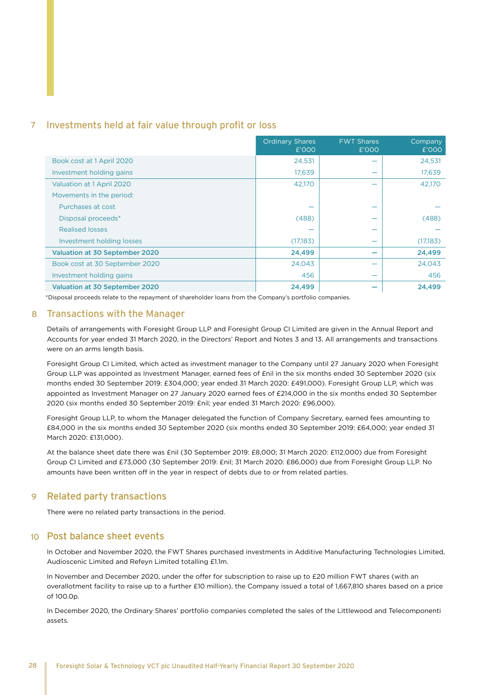#### Investments held at fair value through profit or loss 7

|                                | <b>Ordinary Shares</b><br>£'000 | <b>FWT Shares</b><br>£'000 | Company<br>£'000 |
|--------------------------------|---------------------------------|----------------------------|------------------|
| Book cost at 1 April 2020      | 24,531                          |                            | 24,531           |
| Investment holding gains       | 17,639                          |                            | 17,639           |
| Valuation at 1 April 2020      | 42,170                          |                            | 42,170           |
| Movements in the period:       |                                 |                            |                  |
| Purchases at cost              |                                 |                            |                  |
| Disposal proceeds*             | (488)                           |                            | (488)            |
| <b>Realised losses</b>         |                                 |                            |                  |
| Investment holding losses      | (17,183)                        |                            | (17,183)         |
| Valuation at 30 September 2020 | 24,499                          |                            | 24,499           |
| Book cost at 30 September 2020 | 24,043                          |                            | 24,043           |
| Investment holding gains       | 456                             |                            | 456              |
| Valuation at 30 September 2020 | 24,499                          |                            | 24,499           |

\*Disposal proceeds relate to the repayment of shareholder loans from the Company's portfolio companies.

#### Transactions with the Manager 8

Details of arrangements with Foresight Group LLP and Foresight Group CI Limited are given in the Annual Report and Accounts for year ended 31 March 2020, in the Directors' Report and Notes 3 and 13. All arrangements and transactions were on an arms length basis.

Foresight Group CI Limited, which acted as investment manager to the Company until 27 January 2020 when Foresight Group LLP was appointed as Investment Manager, earned fees of £nil in the six months ended 30 September 2020 (six months ended 30 September 2019: £304,000; year ended 31 March 2020: £491,000). Foresight Group LLP, which was appointed as Investment Manager on 27 January 2020 earned fees of £214,000 in the six months ended 30 September 2020 (six months ended 30 September 2019: £nil; year ended 31 March 2020: £96,000).

Foresight Group LLP, to whom the Manager delegated the function of Company Secretary, earned fees amounting to £84,000 in the six months ended 30 September 2020 (six months ended 30 September 2019: £64,000; year ended 31 March 2020: £131,000).

At the balance sheet date there was £nil (30 September 2019: £8,000; 31 March 2020: £112,000) due from Foresight Group CI Limited and £73,000 (30 September 2019: £nil; 31 March 2020: £86,000) due from Foresight Group LLP. No amounts have been written off in the year in respect of debts due to or from related parties.

#### Related party transactions 9

There were no related party transactions in the period.

#### 10 Post balance sheet events

In October and November 2020, the FWT Shares purchased investments in Additive Manufacturing Technologies Limited, Audioscenic Limited and Refeyn Limited totalling £1.1m.

In November and December 2020, under the offer for subscription to raise up to £20 million FWT shares (with an overallotment facility to raise up to a further £10 million), the Company issued a total of 1,667,810 shares based on a price of 100.0p.

In December 2020, the Ordinary Shares' portfolio companies completed the sales of the Littlewood and Telecomponenti assets.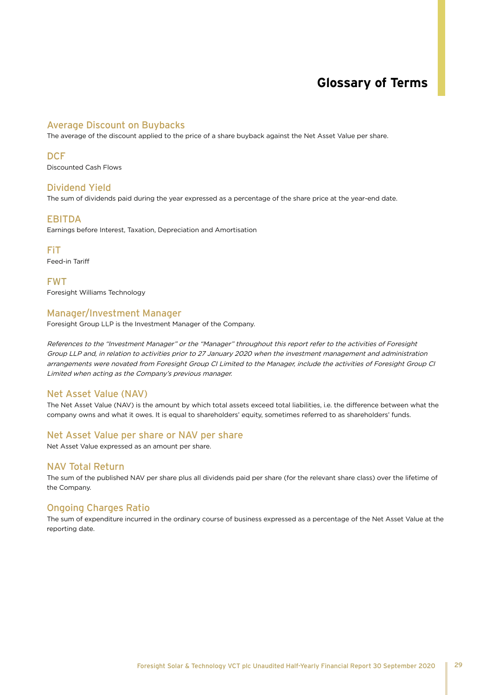### **Glossary of Terms**

### Average Discount on Buybacks

The average of the discount applied to the price of a share buyback against the Net Asset Value per share.

### **DCF**

Discounted Cash Flows

#### Dividend Yield

The sum of dividends paid during the year expressed as a percentage of the share price at the year-end date.

#### EBITDA

Earnings before Interest, Taxation, Depreciation and Amortisation

#### FiT

Feed-in Tariff

FWT Foresight Williams Technology

#### Manager/Investment Manager

Foresight Group LLP is the Investment Manager of the Company.

References to the "Investment Manager" or the "Manager" throughout this report refer to the activities of Foresight Group LLP and, in relation to activities prior to 27 January 2020 when the investment management and administration arrangements were novated from Foresight Group CI Limited to the Manager, include the activities of Foresight Group CI Limited when acting as the Company's previous manager.

#### Net Asset Value (NAV)

The Net Asset Value (NAV) is the amount by which total assets exceed total liabilities, i.e. the difference between what the company owns and what it owes. It is equal to shareholders' equity, sometimes referred to as shareholders' funds.

#### Net Asset Value per share or NAV per share

Net Asset Value expressed as an amount per share.

#### NAV Total Return

The sum of the published NAV per share plus all dividends paid per share (for the relevant share class) over the lifetime of the Company.

#### Ongoing Charges Ratio

The sum of expenditure incurred in the ordinary course of business expressed as a percentage of the Net Asset Value at the reporting date.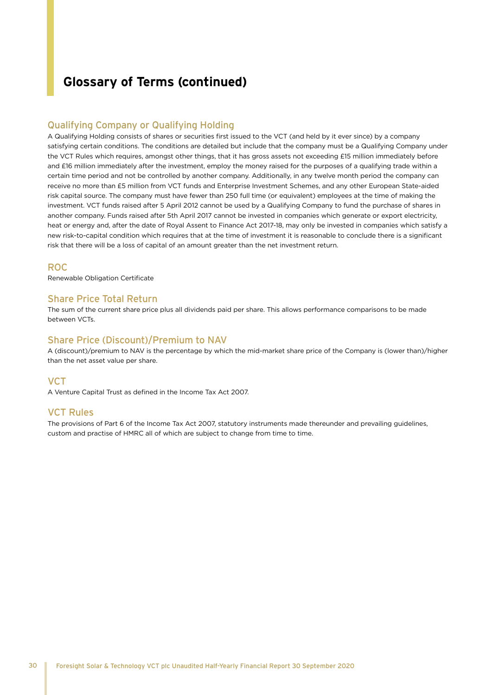### **Glossary of Terms (continued)**

### Qualifying Company or Qualifying Holding

A Qualifying Holding consists of shares or securities first issued to the VCT (and held by it ever since) by a company satisfying certain conditions. The conditions are detailed but include that the company must be a Qualifying Company under the VCT Rules which requires, amongst other things, that it has gross assets not exceeding £15 million immediately before and £16 million immediately after the investment, employ the money raised for the purposes of a qualifying trade within a certain time period and not be controlled by another company. Additionally, in any twelve month period the company can receive no more than £5 million from VCT funds and Enterprise Investment Schemes, and any other European State-aided risk capital source. The company must have fewer than 250 full time (or equivalent) employees at the time of making the investment. VCT funds raised after 5 April 2012 cannot be used by a Qualifying Company to fund the purchase of shares in another company. Funds raised after 5th April 2017 cannot be invested in companies which generate or export electricity, heat or energy and, after the date of Royal Assent to Finance Act 2017-18, may only be invested in companies which satisfy a new risk-to-capital condition which requires that at the time of investment it is reasonable to conclude there is a significant risk that there will be a loss of capital of an amount greater than the net investment return.

### ROC

Renewable Obligation Certificate

### Share Price Total Return

The sum of the current share price plus all dividends paid per share. This allows performance comparisons to be made between VCTs.

### Share Price (Discount)/Premium to NAV

A (discount)/premium to NAV is the percentage by which the mid-market share price of the Company is (lower than)/higher than the net asset value per share.

### **VCT**

A Venture Capital Trust as defined in the Income Tax Act 2007.

### VCT Rules

The provisions of Part 6 of the Income Tax Act 2007, statutory instruments made thereunder and prevailing guidelines, custom and practise of HMRC all of which are subject to change from time to time.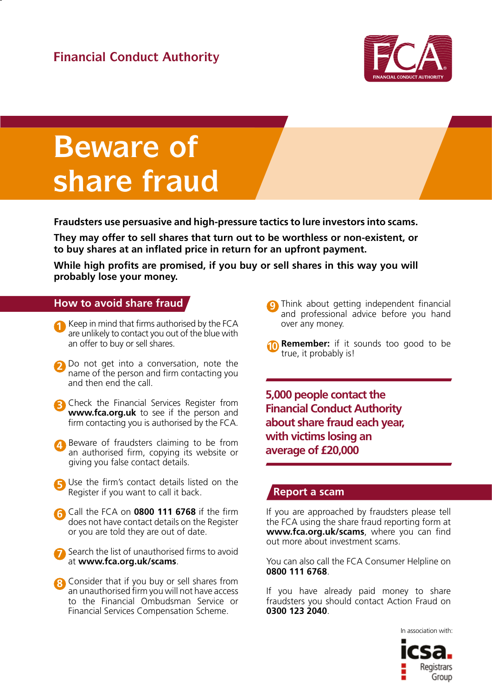

# **Beware of share fraud**

**Fraudsters use persuasive and high-pressure tactics to lure investors into scams.** 

**They may offer to sell shares that turn out to be worthless or non-existent, or to buy shares at an inflated price in return for an upfront payment.** 

**While high profits are promised, if you buy or sell shares in this way you will probably lose your money.**

### **How to avoid share fraud**

- Keep in mind that firms authorised by the FCA are unlikely to contact you out of the blue with an offer to buy or sell shares. **1**
- Do not get into a conversation, note the name of the person and firm contacting you and then end the call. **2**
- Check the Financial Services Register from **3 www.fca.org.uk** to see if the person and firm contacting you is authorised by the FCA.
- **4** Beware of fraudsters claiming to be from an authorised firm, copying its website or giving you false contact details.
- **5** Use the firm's contact details listed on the Register if you want to call it back.
- Call the FCA on **0800 111 6768** if the firm **6** does not have contact details on the Register or you are told they are out of date.
- **7** Search the list of unauthorised firms to avoid at **www.fca.org.uk/scams**.
- Consider that if you buy or sell shares from **8** an unauthorised firm you will not have access to the Financial Ombudsman Service or Financial Services Compensation Scheme.
- Think about getting independent financial and professional advice before you hand over any money. **9**
- **n Remember:** if it sounds too good to be true, it probably is!

**5,000 people contact the Financial Conduct Authority about share fraud each year, with victims losing an average of £20,000**

### **Report a scam**

If you are approached by fraudsters please tell the FCA using the share fraud reporting form at **www.fca.org.uk/scams**, where you can find out more about investment scams.

You can also call the FCA Consumer Helpline on **0800 111 6768**.

If you have already paid money to share fraudsters you should contact Action Fraud on **0300 123 2040**.

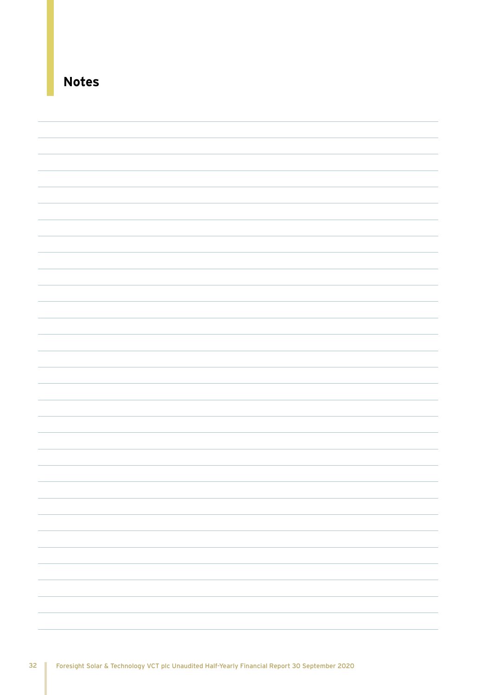| <b>Notes</b> |  |
|--------------|--|
|              |  |
|              |  |
|              |  |
|              |  |
|              |  |
|              |  |
|              |  |
|              |  |
|              |  |
|              |  |
|              |  |
|              |  |
|              |  |
|              |  |
|              |  |
|              |  |
|              |  |
|              |  |
|              |  |
|              |  |
|              |  |
|              |  |
|              |  |
|              |  |
|              |  |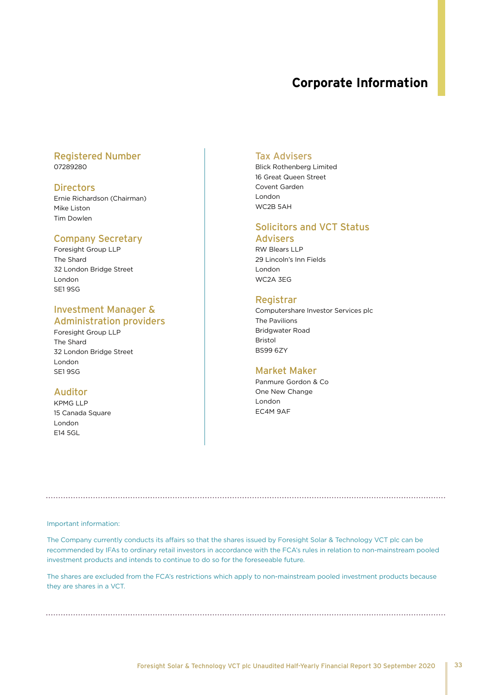### **Corporate Information**

#### Registered Number 07289280

### **Directors**

Ernie Richardson (Chairman) Mike Liston Tim Dowlen

#### Company Secretary

Foresight Group LLP The Shard 32 London Bridge Street London SE1 9SG

### Investment Manager & Administration providers

Foresight Group LLP The Shard 32 London Bridge Street London SE1 9SG

### Auditor

KPMG LLP 15 Canada Square London E14 5GL

### Tax Advisers

Blick Rothenberg Limited 16 Great Queen Street Covent Garden London WC2B 5AH

### Solicitors and VCT Status Advisers

RW Blears LLP 29 Lincoln's Inn Fields London WC2A 3EG

### Registrar

Computershare Investor Services plc The Pavilions Bridgwater Road Bristol BS99 6ZY

### Market Maker

Panmure Gordon & Co One New Change London EC4M 9AF

Important information:

The Company currently conducts its affairs so that the shares issued by Foresight Solar & Technology VCT plc can be recommended by IFAs to ordinary retail investors in accordance with the FCA's rules in relation to non-mainstream pooled investment products and intends to continue to do so for the foreseeable future.

The shares are excluded from the FCA's restrictions which apply to non-mainstream pooled investment products because they are shares in a VCT.